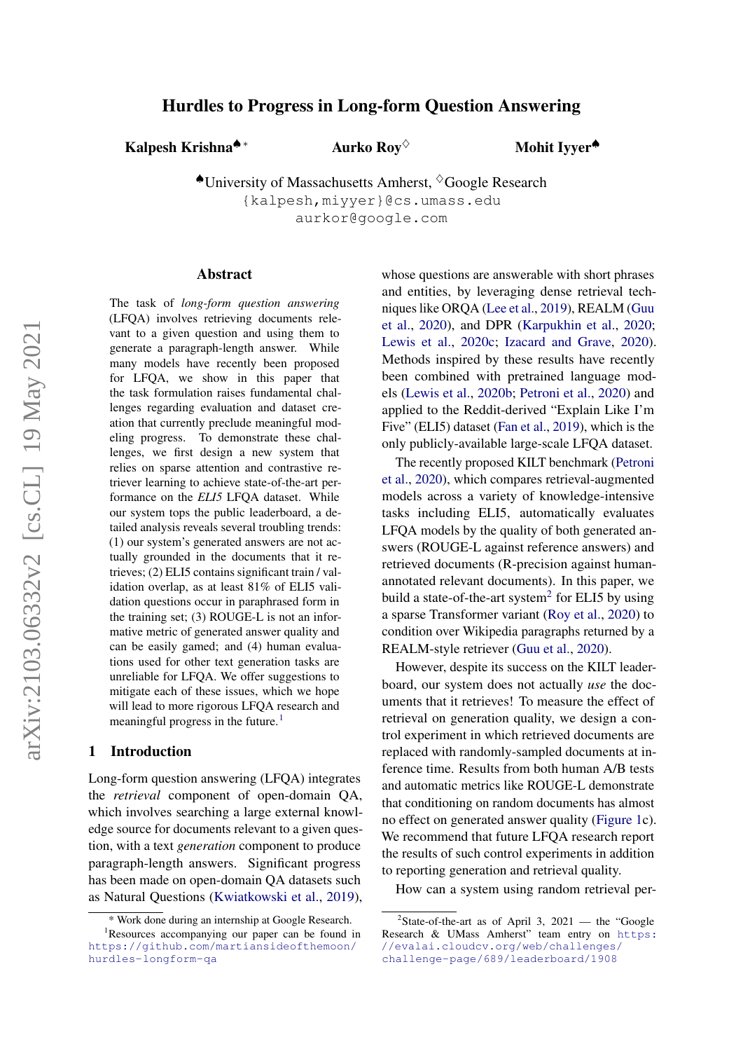# arXiv:2103.06332v2 [cs.CL] 19 May 2021 arXiv:2103.06332v2 [cs.CL] 19 May 2021

# Hurdles to Progress in Long-form Question Answering

Kalpesh Krishna<sup>♠ ∗</sup> Aurko Roy<sup>◇</sup>

Mohit Iyyer<sup>◆</sup>

 $\triangle$ University of Massachusetts Amherst,  $\Diamond$ Google Research {kalpesh,miyyer}@cs.umass.edu aurkor@google.com

### Abstract

The task of *long-form question answering* (LFQA) involves retrieving documents relevant to a given question and using them to generate a paragraph-length answer. While many models have recently been proposed for LFQA, we show in this paper that the task formulation raises fundamental challenges regarding evaluation and dataset creation that currently preclude meaningful modeling progress. To demonstrate these challenges, we first design a new system that relies on sparse attention and contrastive retriever learning to achieve state-of-the-art performance on the *ELI5* LFQA dataset. While our system tops the public leaderboard, a detailed analysis reveals several troubling trends: (1) our system's generated answers are not actually grounded in the documents that it retrieves; (2) ELI5 contains significant train / validation overlap, as at least 81% of ELI5 validation questions occur in paraphrased form in the training set; (3) ROUGE-L is not an informative metric of generated answer quality and can be easily gamed; and (4) human evaluations used for other text generation tasks are unreliable for LFQA. We offer suggestions to mitigate each of these issues, which we hope will lead to more rigorous LFQA research and meaningful progress in the future[.](#page-0-0)<sup>[1](#page-0-1)</sup>

# 1 Introduction

Long-form question answering (LFQA) integrates the *retrieval* component of open-domain QA, which involves searching a large external knowledge source for documents relevant to a given question, with a text *generation* component to produce paragraph-length answers. Significant progress has been made on open-domain QA datasets such as Natural Questions [\(Kwiatkowski et al.,](#page-10-0) [2019\)](#page-10-0), whose questions are answerable with short phrases and entities, by leveraging dense retrieval techniques like ORQA [\(Lee et al.,](#page-10-1) [2019\)](#page-10-1), REALM [\(Guu](#page-9-0) [et al.,](#page-9-0) [2020\)](#page-9-0), and DPR [\(Karpukhin et al.,](#page-9-1) [2020;](#page-9-1) [Lewis et al.,](#page-10-2) [2020c;](#page-10-2) [Izacard and Grave,](#page-9-2) [2020\)](#page-9-2). Methods inspired by these results have recently been combined with pretrained language models [\(Lewis et al.,](#page-10-3) [2020b;](#page-10-3) [Petroni et al.,](#page-10-4) [2020\)](#page-10-4) and applied to the Reddit-derived "Explain Like I'm Five" (ELI5) dataset [\(Fan et al.,](#page-9-3) [2019\)](#page-9-3), which is the only publicly-available large-scale LFQA dataset.

The recently proposed KILT benchmark [\(Petroni](#page-10-4) [et al.,](#page-10-4) [2020\)](#page-10-4), which compares retrieval-augmented models across a variety of knowledge-intensive tasks including ELI5, automatically evaluates LFQA models by the quality of both generated answers (ROUGE-L against reference answers) and retrieved documents (R-precision against humanannotated relevant documents). In this paper, we build a state-of-the-art system<sup>[2](#page-0-2)</sup> for ELI5 by using a sparse Transformer variant [\(Roy et al.,](#page-10-5) [2020\)](#page-10-5) to condition over Wikipedia paragraphs returned by a REALM-style retriever [\(Guu et al.,](#page-9-0) [2020\)](#page-9-0).

However, despite its success on the KILT leaderboard, our system does not actually *use* the documents that it retrieves! To measure the effect of retrieval on generation quality, we design a control experiment in which retrieved documents are replaced with randomly-sampled documents at inference time. Results from both human A/B tests and automatic metrics like ROUGE-L demonstrate that conditioning on random documents has almost no effect on generated answer quality [\(Figure 1c](#page-1-0)). We recommend that future LFQA research report the results of such control experiments in addition to reporting generation and retrieval quality.

How can a system using random retrieval per-

<span id="page-0-1"></span><span id="page-0-0"></span><sup>\*</sup> Work done during an internship at Google Research.

<sup>&</sup>lt;sup>1</sup>Resources accompanying our paper can be found in [https://github.com/martiansideofthemoon/](https://github.com/martiansideofthemoon/hurdles-longform-qa) [hurdles-longform-qa](https://github.com/martiansideofthemoon/hurdles-longform-qa)

<span id="page-0-2"></span><sup>&</sup>lt;sup>2</sup>State-of-the-art as of April 3, 2021 — the "Google Research & UMass Amherst" team entry on [https:](https://evalai.cloudcv.org/web/challenges/challenge-page/689/leaderboard/1908) [//evalai.cloudcv.org/web/challenges/](https://evalai.cloudcv.org/web/challenges/challenge-page/689/leaderboard/1908) [challenge-page/689/leaderboard/1908](https://evalai.cloudcv.org/web/challenges/challenge-page/689/leaderboard/1908)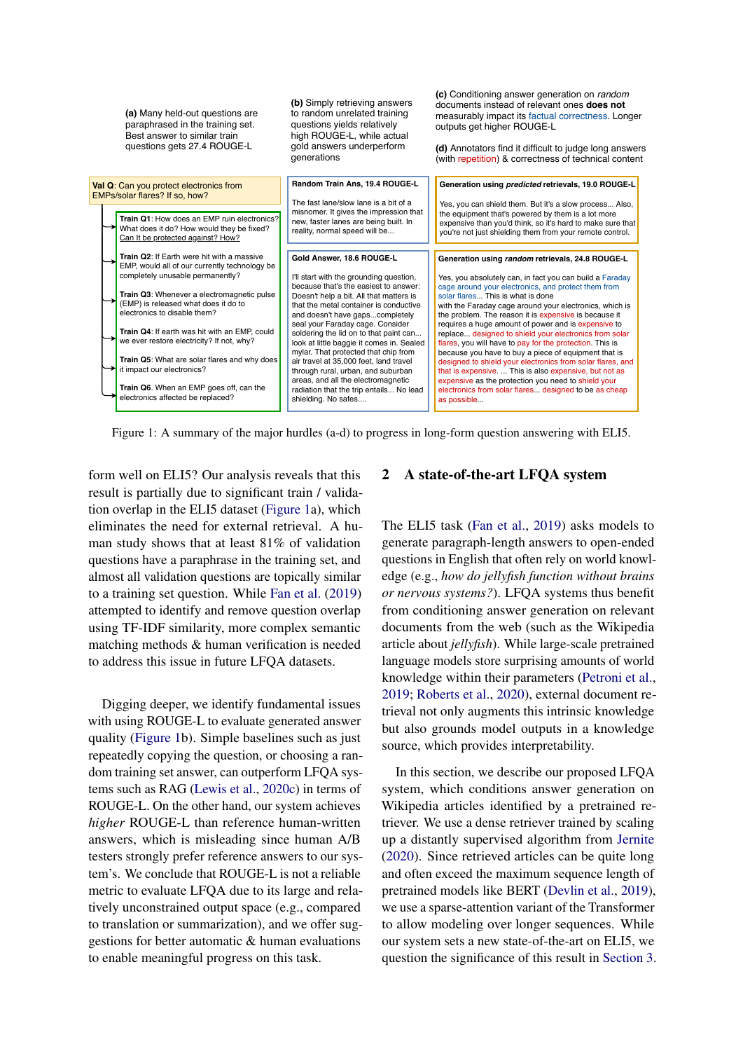<span id="page-1-0"></span>

| (a) Many held-out questions are<br>paraphrased in the training set.<br>Best answer to similar train<br>questions gets 27.4 ROUGE-L | (b) Simply retrieving answers<br>to random unrelated training<br>questions yields relatively<br>high ROUGE-L, while actual<br>gold answers underperform<br>generations | documents instead of relevant ones <b>does not</b><br>measurably impact its factual correctness. Longer<br>outputs get higher ROUGE-L<br>(d) Annotators find it difficult to judge long answers<br>(with repetition) & correctness of technical content |
|------------------------------------------------------------------------------------------------------------------------------------|------------------------------------------------------------------------------------------------------------------------------------------------------------------------|---------------------------------------------------------------------------------------------------------------------------------------------------------------------------------------------------------------------------------------------------------|
| Val Q: Can you protect electronics from<br>EMPs/solar flares? If so, how?                                                          | Random Train Ans, 19.4 ROUGE-L                                                                                                                                         | Generation using predicted retrievals, 19.0 ROUGE-L                                                                                                                                                                                                     |
| Train Q1: How does an EMP ruin electronics?<br>What does it do? How would they be fixed?<br>Can It be protected against? How?      | The fast lane/slow lane is a bit of a<br>misnomer. It gives the impression that<br>new, faster lanes are being built. In<br>reality, normal speed will be              | Yes, you can shield them. But it's a slow process Also,<br>the equipment that's powered by them is a lot more<br>expensive than you'd think, so it's hard to make sure that<br>you're not just shielding them from your remote control.                 |
| Train Q2: If Earth were hit with a massive<br>EMP, would all of our currently technology be<br>completely unusable permanently?    | Gold Answer, 18.6 ROUGE-L<br>I'll start with the grounding question,<br>because that's the easiest to answer:                                                          | Generation using random retrievals, 24.8 ROUGE-L<br>Yes, you absolutely can, in fact you can build a Faraday                                                                                                                                            |
| Train Q3: Whenever a electromagnetic pulse<br>(EMP) is released what does it do to<br>electronics to disable them?                 | Doesn't help a bit. All that matters is<br>that the metal container is conductive<br>and doesn't have gapscompletely                                                   | cage around your electronics, and protect them from<br>solar flares This is what is done<br>with the Faraday cage around your electronics, which is<br>the problem. The reason it is expensive is because it                                            |
| Train Q4: If earth was hit with an EMP, could<br>we ever restore electricity? If not, why?                                         | seal your Faraday cage. Consider<br>soldering the lid on to that paint can<br>look at little baggie it comes in. Sealed<br>mylar. That protected that chip from        | requires a huge amount of power and is expensive to<br>replace designed to shield your electronics from solar<br>flares, you will have to pay for the protection. This is<br>because you have to buy a piece of equipment that is                       |
| Train Q5: What are solar flares and why does<br>it impact our electronics?                                                         | air travel at 35,000 feet, land travel<br>through rural, urban, and suburban<br>areas, and all the electromagnetic                                                     | designed to shield your electronics from solar flares, and<br>that is expensive.  This is also expensive, but not as<br>expensive as the protection you need to shield your                                                                             |
| Train Q6. When an EMP goes off, can the<br>electronics affected be replaced?                                                       | radiation that the trip entails No lead<br>shielding. No safes                                                                                                         | electronics from solar flares designed to be as cheap<br>as possible                                                                                                                                                                                    |

Figure 1: A summary of the major hurdles (a-d) to progress in long-form question answering with ELI5.

form well on ELI5? Our analysis reveals that this result is partially due to significant train / validation overlap in the ELI5 dataset [\(Figure 1a](#page-1-0)), which eliminates the need for external retrieval. A human study shows that at least 81% of validation questions have a paraphrase in the training set, and almost all validation questions are topically similar to a training set question. While [Fan et al.](#page-9-3) [\(2019\)](#page-9-3) attempted to identify and remove question overlap using TF-IDF similarity, more complex semantic matching methods & human verification is needed to address this issue in future LFQA datasets.

Digging deeper, we identify fundamental issues with using ROUGE-L to evaluate generated answer quality [\(Figure 1b](#page-1-0)). Simple baselines such as just repeatedly copying the question, or choosing a random training set answer, can outperform LFQA systems such as RAG [\(Lewis et al.,](#page-10-2) [2020c\)](#page-10-2) in terms of ROUGE-L. On the other hand, our system achieves *higher* ROUGE-L than reference human-written answers, which is misleading since human A/B testers strongly prefer reference answers to our system's. We conclude that ROUGE-L is not a reliable metric to evaluate LFQA due to its large and relatively unconstrained output space (e.g., compared to translation or summarization), and we offer suggestions for better automatic & human evaluations to enable meaningful progress on this task.

# 2 A state-of-the-art LFQA system

**(c)** Conditioning answer generation on *random*

The ELI5 task [\(Fan et al.,](#page-9-3) [2019\)](#page-9-3) asks models to generate paragraph-length answers to open-ended questions in English that often rely on world knowledge (e.g., *how do jellyfish function without brains or nervous systems?*). LFQA systems thus benefit from conditioning answer generation on relevant documents from the web (such as the Wikipedia article about *jellyfish*). While large-scale pretrained language models store surprising amounts of world knowledge within their parameters [\(Petroni et al.,](#page-10-6) [2019;](#page-10-6) [Roberts et al.,](#page-10-7) [2020\)](#page-10-7), external document retrieval not only augments this intrinsic knowledge but also grounds model outputs in a knowledge source, which provides interpretability.

In this section, we describe our proposed LFQA system, which conditions answer generation on Wikipedia articles identified by a pretrained retriever. We use a dense retriever trained by scaling up a distantly supervised algorithm from [Jernite](#page-9-4) [\(2020\)](#page-9-4). Since retrieved articles can be quite long and often exceed the maximum sequence length of pretrained models like BERT [\(Devlin et al.,](#page-9-5) [2019\)](#page-9-5), we use a sparse-attention variant of the Transformer to allow modeling over longer sequences. While our system sets a new state-of-the-art on ELI5, we question the significance of this result in [Section 3.](#page-3-0)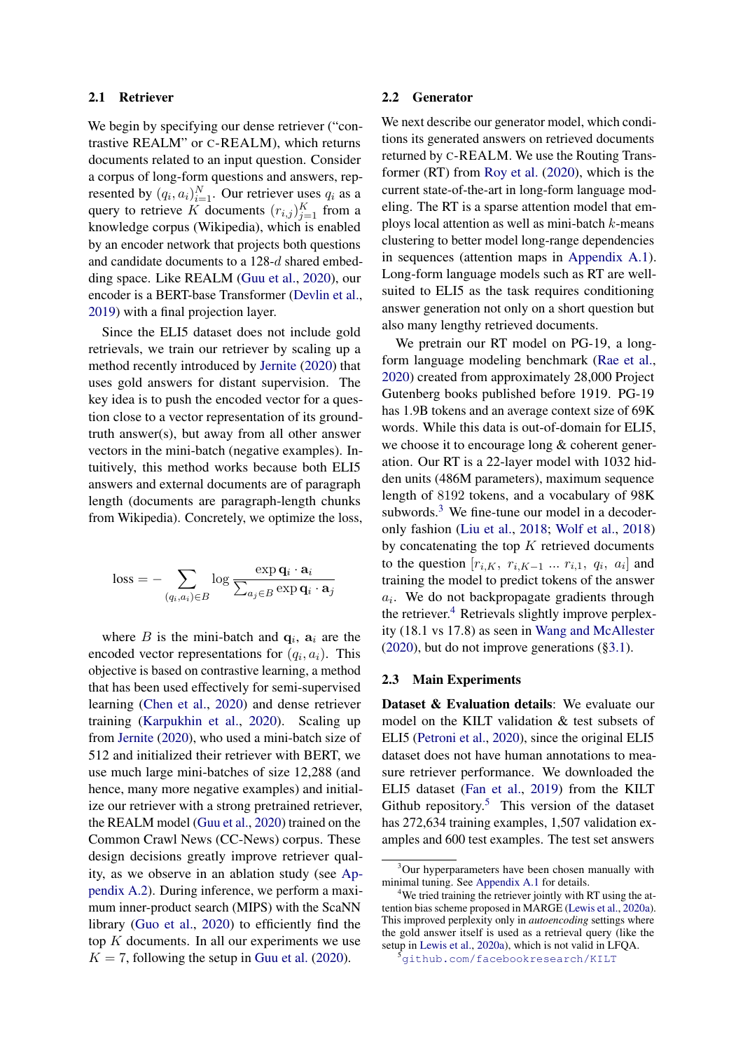## 2.1 Retriever

We begin by specifying our dense retriever ("contrastive REALM" or C-REALM), which returns documents related to an input question. Consider a corpus of long-form questions and answers, represented by  $(q_i, a_i)_{i=1}^N$ . Our retriever uses  $q_i$  as a query to retrieve K documents  $(r_{i,j})_{j=1}^K$  from a knowledge corpus (Wikipedia), which is enabled by an encoder network that projects both questions and candidate documents to a 128-d shared embedding space. Like REALM [\(Guu et al.,](#page-9-0) [2020\)](#page-9-0), our encoder is a BERT-base Transformer [\(Devlin et al.,](#page-9-5) [2019\)](#page-9-5) with a final projection layer.

Since the ELI5 dataset does not include gold retrievals, we train our retriever by scaling up a method recently introduced by [Jernite](#page-9-4) [\(2020\)](#page-9-4) that uses gold answers for distant supervision. The key idea is to push the encoded vector for a question close to a vector representation of its groundtruth answer(s), but away from all other answer vectors in the mini-batch (negative examples). Intuitively, this method works because both ELI5 answers and external documents are of paragraph length (documents are paragraph-length chunks from Wikipedia). Concretely, we optimize the loss,

$$
\text{loss} = -\sum_{(q_i, a_i) \in B} \log \frac{\exp \mathbf{q}_i \cdot \mathbf{a}_i}{\sum_{a_j \in B} \exp \mathbf{q}_i \cdot \mathbf{a}_j}
$$

where B is the mini-batch and  $q_i$ ,  $a_i$  are the encoded vector representations for  $(q_i, a_i)$ . This objective is based on contrastive learning, a method that has been used effectively for semi-supervised learning [\(Chen et al.,](#page-9-6) [2020\)](#page-9-6) and dense retriever training [\(Karpukhin et al.,](#page-9-1) [2020\)](#page-9-1). Scaling up from [Jernite](#page-9-4) [\(2020\)](#page-9-4), who used a mini-batch size of 512 and initialized their retriever with BERT, we use much large mini-batches of size 12,288 (and hence, many more negative examples) and initialize our retriever with a strong pretrained retriever, the REALM model [\(Guu et al.,](#page-9-0) [2020\)](#page-9-0) trained on the Common Crawl News (CC-News) corpus. These design decisions greatly improve retriever quality, as we observe in an ablation study (see [Ap](#page-13-0)[pendix A.2\)](#page-13-0). During inference, we perform a maximum inner-product search (MIPS) with the ScaNN library [\(Guo et al.,](#page-9-7) [2020\)](#page-9-7) to efficiently find the top  $K$  documents. In all our experiments we use  $K = 7$ , following the setup in [Guu et al.](#page-9-0) [\(2020\)](#page-9-0).

### 2.2 Generator

We next describe our generator model, which conditions its generated answers on retrieved documents returned by C-REALM. We use the Routing Transformer (RT) from [Roy et al.](#page-10-5) [\(2020\)](#page-10-5), which is the current state-of-the-art in long-form language modeling. The RT is a sparse attention model that employs local attention as well as mini-batch  $k$ -means clustering to better model long-range dependencies in sequences (attention maps in [Appendix A.1\)](#page-12-0). Long-form language models such as RT are wellsuited to ELI5 as the task requires conditioning answer generation not only on a short question but also many lengthy retrieved documents.

We pretrain our RT model on PG-19, a longform language modeling benchmark [\(Rae et al.,](#page-10-8) [2020\)](#page-10-8) created from approximately 28,000 Project Gutenberg books published before 1919. PG-19 has 1.9B tokens and an average context size of 69K words. While this data is out-of-domain for ELI5, we choose it to encourage long & coherent generation. Our RT is a 22-layer model with 1032 hidden units (486M parameters), maximum sequence length of 8192 tokens, and a vocabulary of 98K subwords.<sup>[3](#page-2-0)</sup> We fine-tune our model in a decoderonly fashion [\(Liu et al.,](#page-10-9) [2018;](#page-10-9) [Wolf et al.,](#page-11-0) [2018\)](#page-11-0) by concatenating the top  $K$  retrieved documents to the question  $[r_{i,K}, r_{i,K-1} \dots r_{i,1}, q_i, a_i]$  and training the model to predict tokens of the answer  $a_i$ . We do not backpropagate gradients through the retriever.<sup>[4](#page-2-1)</sup> Retrievals slightly improve perplexity (18.1 vs 17.8) as seen in [Wang and McAllester](#page-11-1) [\(2020\)](#page-11-1), but do not improve generations ([§3.1\)](#page-3-1).

# <span id="page-2-3"></span>2.3 Main Experiments

Dataset & Evaluation details: We evaluate our model on the KILT validation & test subsets of ELI5 [\(Petroni et al.,](#page-10-4) [2020\)](#page-10-4), since the original ELI5 dataset does not have human annotations to measure retriever performance. We downloaded the ELI5 dataset [\(Fan et al.,](#page-9-3) [2019\)](#page-9-3) from the KILT Github repository. $5$  This version of the dataset has 272,634 training examples, 1,507 validation examples and 600 test examples. The test set answers

<span id="page-2-0"></span><sup>&</sup>lt;sup>3</sup>Our hyperparameters have been chosen manually with minimal tuning. See [Appendix A.1](#page-12-0) for details.

<span id="page-2-1"></span><sup>&</sup>lt;sup>4</sup>We tried training the retriever jointly with RT using the attention bias scheme proposed in MARGE [\(Lewis et al.,](#page-10-10) [2020a\)](#page-10-10). This improved perplexity only in *autoencoding* settings where the gold answer itself is used as a retrieval query (like the setup in [Lewis et al.,](#page-10-10) [2020a\)](#page-10-10), which is not valid in LFQA.

<span id="page-2-2"></span><sup>&</sup>lt;sup>5</sup><github.com/facebookresearch/KILT>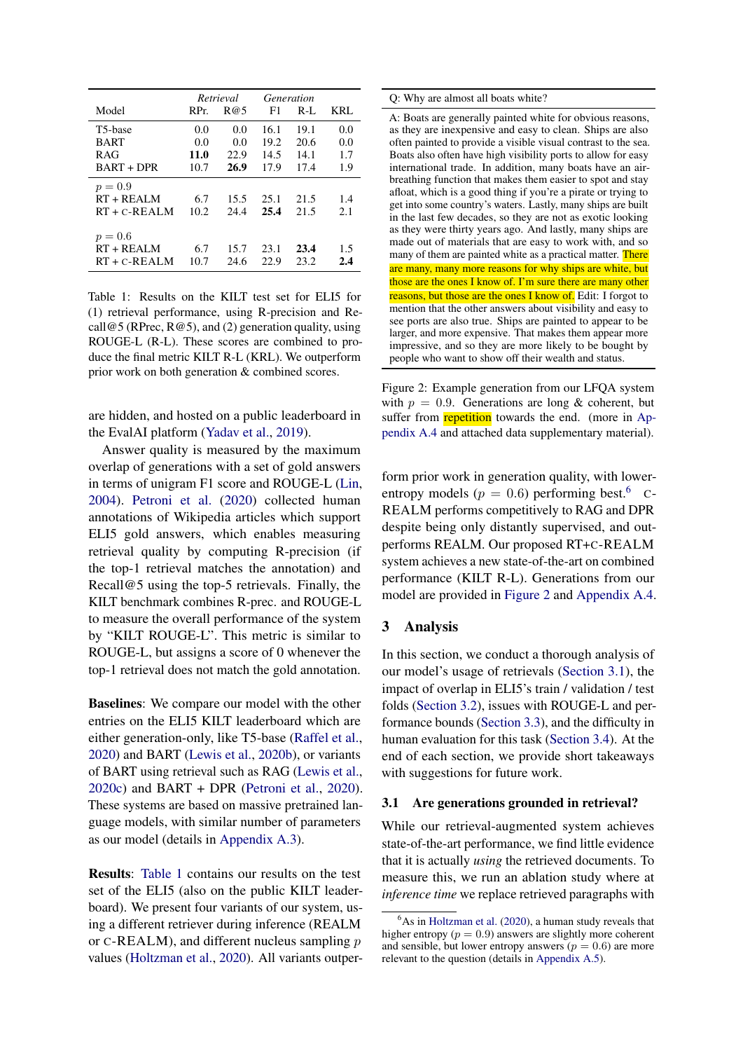<span id="page-3-2"></span>

|                      |      | Retrieval |      | Generation |     |
|----------------------|------|-----------|------|------------|-----|
| Model                | RPr. | R@5       | F1   | $R-I$      | KRL |
| T <sub>5</sub> -base | 0.0  | 0.0       | 16.1 | 19.1       | 0.0 |
| <b>BART</b>          | 0.0  | 0.0       | 19.2 | 20.6       | 0.0 |
| R AG                 | 11.0 | 22.9      | 14.5 | 14.1       | 1.7 |
| <b>BART + DPR</b>    | 10.7 | 26.9      | 17.9 | 17.4       | 1.9 |
| $p = 0.9$            |      |           |      |            |     |
| $RT + REAI$ M        | 6.7  | 15.5      | 25.1 | 21.5       | 1.4 |
| $RT + C - REALM$     | 10.2 | 24.4      | 25.4 | 21.5       | 2.1 |
| $p = 0.6$            |      |           |      |            |     |
| $RT + REAI$ M        | 6.7  | 15.7      | 23.1 | 23.4       | 1.5 |
| $RT + C - REALM$     | 10.7 | 24.6      | 22.9 | 23.2       | 2.4 |

Table 1: Results on the KILT test set for ELI5 for (1) retrieval performance, using R-precision and Recall@5 (RPrec,  $R@5$ ), and (2) generation quality, using ROUGE-L (R-L). These scores are combined to produce the final metric KILT R-L (KRL). We outperform prior work on both generation & combined scores.

are hidden, and hosted on a public leaderboard in the EvalAI platform [\(Yadav et al.,](#page-11-2) [2019\)](#page-11-2).

Answer quality is measured by the maximum overlap of generations with a set of gold answers in terms of unigram F1 score and ROUGE-L [\(Lin,](#page-10-11) [2004\)](#page-10-11). [Petroni et al.](#page-10-4) [\(2020\)](#page-10-4) collected human annotations of Wikipedia articles which support ELI5 gold answers, which enables measuring retrieval quality by computing R-precision (if the top-1 retrieval matches the annotation) and Recall@5 using the top-5 retrievals. Finally, the KILT benchmark combines R-prec. and ROUGE-L to measure the overall performance of the system by "KILT ROUGE-L". This metric is similar to ROUGE-L, but assigns a score of 0 whenever the top-1 retrieval does not match the gold annotation.

Baselines: We compare our model with the other entries on the ELI5 KILT leaderboard which are either generation-only, like T5-base [\(Raffel et al.,](#page-10-12) [2020\)](#page-10-12) and BART [\(Lewis et al.,](#page-10-3) [2020b\)](#page-10-3), or variants of BART using retrieval such as RAG [\(Lewis et al.,](#page-10-2) [2020c\)](#page-10-2) and BART + DPR [\(Petroni et al.,](#page-10-4) [2020\)](#page-10-4). These systems are based on massive pretrained language models, with similar number of parameters as our model (details in [Appendix A.3\)](#page-13-1).

Results: [Table 1](#page-3-2) contains our results on the test set of the ELI5 (also on the public KILT leaderboard). We present four variants of our system, using a different retriever during inference (REALM or  $C$ -REALM), and different nucleus sampling  $p$ values [\(Holtzman et al.,](#page-9-8) [2020\)](#page-9-8). All variants outper-

### <span id="page-3-4"></span>Q: Why are almost all boats white?

A: Boats are generally painted white for obvious reasons, as they are inexpensive and easy to clean. Ships are also often painted to provide a visible visual contrast to the sea. Boats also often have high visibility ports to allow for easy international trade. In addition, many boats have an airbreathing function that makes them easier to spot and stay afloat, which is a good thing if you're a pirate or trying to get into some country's waters. Lastly, many ships are built in the last few decades, so they are not as exotic looking as they were thirty years ago. And lastly, many ships are made out of materials that are easy to work with, and so many of them are painted white as a practical matter. There are many, many more reasons for why ships are white, but those are the ones I know of. I'm sure there are many other reasons, but those are the ones I know of. Edit: I forgot to mention that the other answers about visibility and easy to see ports are also true. Ships are painted to appear to be larger, and more expensive. That makes them appear more impressive, and so they are more likely to be bought by people who want to show off their wealth and status.

Figure 2: Example generation from our LFQA system with  $p = 0.9$ . Generations are long & coherent, but suffer from **repetition** towards the end. (more in [Ap](#page-13-2)[pendix A.4](#page-13-2) and attached data supplementary material).

form prior work in generation quality, with lowerentropy models ( $p = 0.6$  $p = 0.6$ ) performing best.<sup>6</sup> C-REALM performs competitively to RAG and DPR despite being only distantly supervised, and outperforms REALM. Our proposed RT+C-REALM system achieves a new state-of-the-art on combined performance (KILT R-L). Generations from our model are provided in [Figure 2](#page-3-4) and [Appendix A.4.](#page-13-2)

# <span id="page-3-0"></span>3 Analysis

In this section, we conduct a thorough analysis of our model's usage of retrievals [\(Section 3.1\)](#page-3-1), the impact of overlap in ELI5's train / validation / test folds [\(Section 3.2\)](#page-5-0), issues with ROUGE-L and performance bounds [\(Section 3.3\)](#page-7-0), and the difficulty in human evaluation for this task [\(Section 3.4\)](#page-8-0). At the end of each section, we provide short takeaways with suggestions for future work.

### <span id="page-3-1"></span>3.1 Are generations grounded in retrieval?

While our retrieval-augmented system achieves state-of-the-art performance, we find little evidence that it is actually *using* the retrieved documents. To measure this, we run an ablation study where at *inference time* we replace retrieved paragraphs with

<span id="page-3-3"></span> $6$ As in [Holtzman et al.](#page-9-8) [\(2020\)](#page-9-8), a human study reveals that higher entropy ( $p = 0.9$ ) answers are slightly more coherent and sensible, but lower entropy answers ( $p = 0.6$ ) are more relevant to the question (details in [Appendix A.5\)](#page-13-3).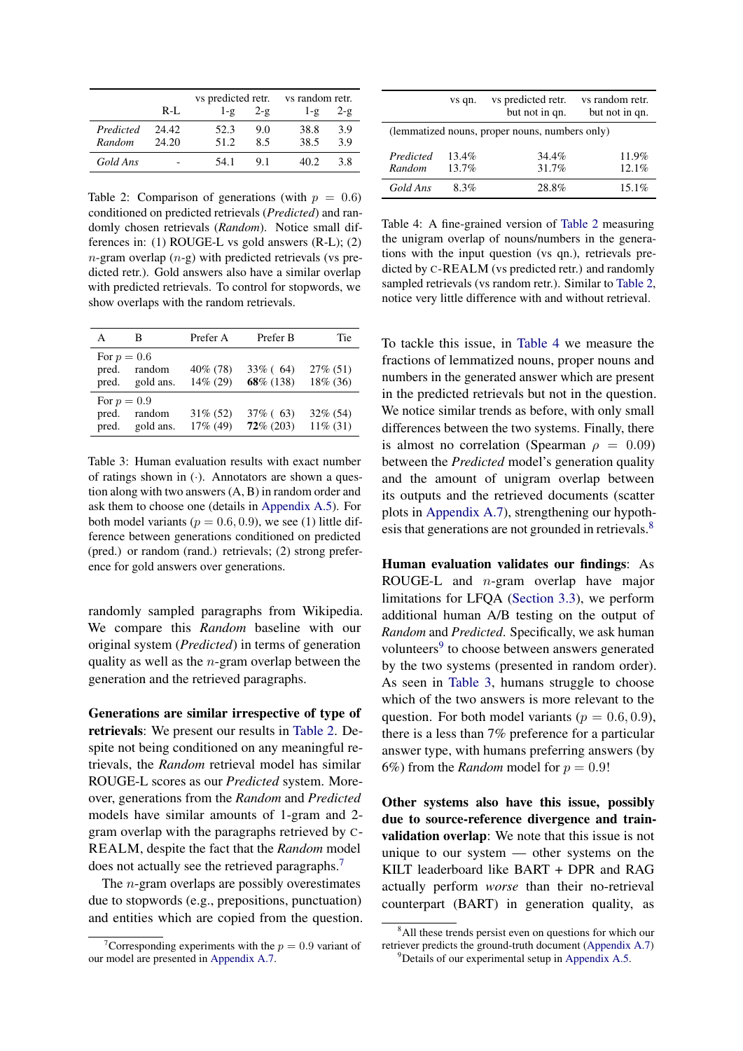<span id="page-4-0"></span>

|                     |                | vs predicted retr. |                 | vs random retr. |                |  |
|---------------------|----------------|--------------------|-----------------|-----------------|----------------|--|
|                     | $R-I.$         | $1-\mathcal{Q}$    | $2-\mathcal{Q}$ | $1-\mathcal{Q}$ | $2-\mathbf{g}$ |  |
| Predicted<br>Random | 24.42<br>24.20 | 52.3<br>51.2       | 9.0<br>8.5      | 38.8<br>38.5    | 3.9<br>3.9     |  |
| Gold Ans            |                | 54.1               | 91              | 40 Z            | 38             |  |

Table 2: Comparison of generations (with  $p = 0.6$ ) conditioned on predicted retrievals (*Predicted*) and randomly chosen retrievals (*Random*). Notice small differences in: (1) ROUGE-L vs gold answers (R-L); (2)  $n$ -gram overlap  $(n-g)$  with predicted retrievals (vs predicted retr.). Gold answers also have a similar overlap with predicted retrievals. To control for stopwords, we show overlaps with the random retrievals.

<span id="page-4-5"></span>

| A           | В            | Prefer A    | Prefer B     | Tie         |
|-------------|--------------|-------------|--------------|-------------|
| For $p=0.6$ | pred. random | 40\% (78)   | $33\%$ (64)  | $27\%$ (51) |
| pred.       | gold ans.    | 14% (29)    | 68\% (138)   | 18% (36)    |
| For $p=0.9$ | pred. random | $31\% (52)$ | $37\%$ (63)  | $32\%$ (54) |
| pred.       | gold ans.    | $17\%$ (49) | $72\%$ (203) | $11\%$ (31) |

Table 3: Human evaluation results with exact number of ratings shown in  $(\cdot)$ . Annotators are shown a question along with two answers (A, B) in random order and ask them to choose one (details in [Appendix A.5\)](#page-13-3). For both model variants ( $p = 0.6, 0.9$ ), we see (1) little difference between generations conditioned on predicted (pred.) or random (rand.) retrievals; (2) strong preference for gold answers over generations.

randomly sampled paragraphs from Wikipedia. We compare this *Random* baseline with our original system (*Predicted*) in terms of generation quality as well as the  $n$ -gram overlap between the generation and the retrieved paragraphs.

Generations are similar irrespective of type of retrievals: We present our results in [Table 2.](#page-4-0) Despite not being conditioned on any meaningful retrievals, the *Random* retrieval model has similar ROUGE-L scores as our *Predicted* system. Moreover, generations from the *Random* and *Predicted* models have similar amounts of 1-gram and 2 gram overlap with the paragraphs retrieved by C-REALM, despite the fact that the *Random* model does not actually see the retrieved paragraphs.<sup>[7](#page-4-1)</sup>

The n-gram overlaps are possibly overestimates due to stopwords (e.g., prepositions, punctuation) and entities which are copied from the question.

<span id="page-4-2"></span>

|                                                | vs qn.            | vs predicted retr.<br>but not in qn. | vs random retr.<br>but not in qn. |  |
|------------------------------------------------|-------------------|--------------------------------------|-----------------------------------|--|
| (lemmatized nouns, proper nouns, numbers only) |                   |                                      |                                   |  |
| Predicted<br>Random                            | $13.4\%$<br>13.7% | $34.4\%$<br>31.7%                    | 11.9%<br>12.1%                    |  |
| Gold Ans                                       | 8.3%              | 28.8%                                | $15.1\%$                          |  |

Table 4: A fine-grained version of [Table 2](#page-4-0) measuring the unigram overlap of nouns/numbers in the generations with the input question (vs qn.), retrievals predicted by C-REALM (vs predicted retr.) and randomly sampled retrievals (vs random retr.). Similar to [Table 2,](#page-4-0) notice very little difference with and without retrieval.

To tackle this issue, in [Table 4](#page-4-2) we measure the fractions of lemmatized nouns, proper nouns and numbers in the generated answer which are present in the predicted retrievals but not in the question. We notice similar trends as before, with only small differences between the two systems. Finally, there is almost no correlation (Spearman  $\rho = 0.09$ ) between the *Predicted* model's generation quality and the amount of unigram overlap between its outputs and the retrieved documents (scatter plots in [Appendix A.7\)](#page-14-0), strengthening our hypoth-esis that generations are not grounded in retrievals.<sup>[8](#page-4-3)</sup>

Human evaluation validates our findings: As ROUGE-L and n-gram overlap have major limitations for LFQA [\(Section 3.3\)](#page-7-0), we perform additional human A/B testing on the output of *Random* and *Predicted*. Specifically, we ask human volunteers<sup>[9](#page-4-4)</sup> to choose between answers generated by the two systems (presented in random order). As seen in [Table 3,](#page-4-5) humans struggle to choose which of the two answers is more relevant to the question. For both model variants ( $p = 0.6, 0.9$ ), there is a less than 7% preference for a particular answer type, with humans preferring answers (by 6%) from the *Random* model for  $p = 0.9!$ 

Other systems also have this issue, possibly due to source-reference divergence and trainvalidation overlap: We note that this issue is not unique to our system — other systems on the KILT leaderboard like BART + DPR and RAG actually perform *worse* than their no-retrieval counterpart (BART) in generation quality, as

<span id="page-4-1"></span>Corresponding experiments with the  $p = 0.9$  variant of our model are presented in [Appendix A.7.](#page-14-0)

<span id="page-4-4"></span><span id="page-4-3"></span><sup>&</sup>lt;sup>8</sup>All these trends persist even on questions for which our retriever predicts the ground-truth document [\(Appendix A.7\)](#page-14-0) <sup>9</sup>Details of our experimental setup in [Appendix A.5.](#page-13-3)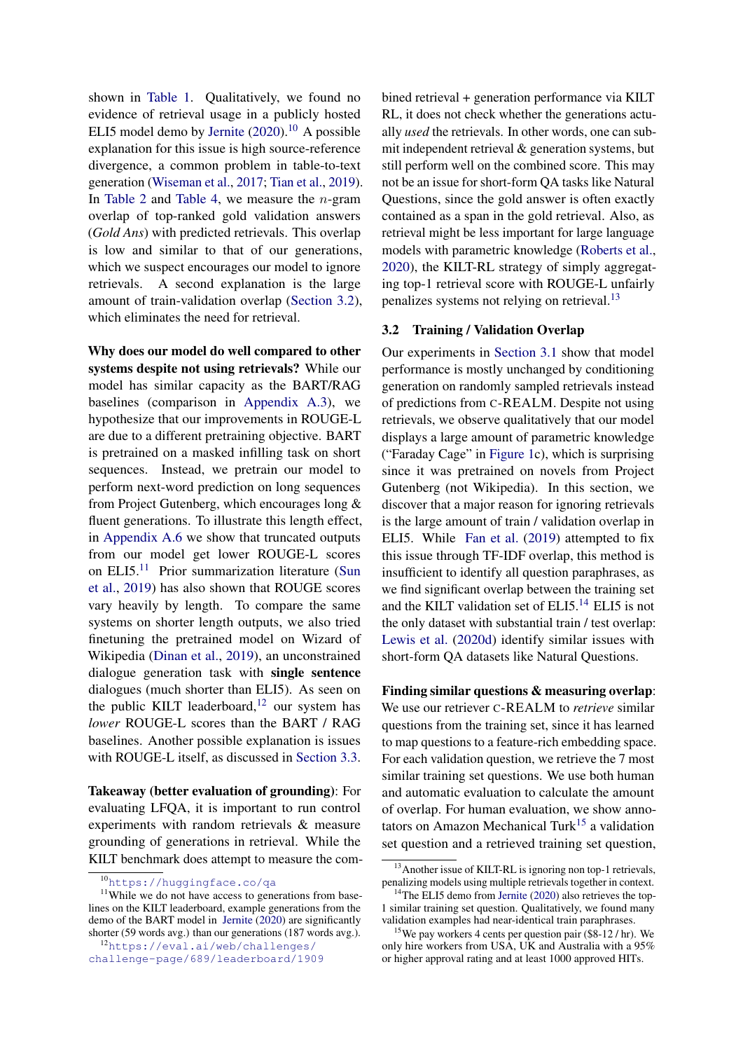shown in [Table 1.](#page-3-2) Qualitatively, we found no evidence of retrieval usage in a publicly hosted ELI5 model demo by [Jernite](#page-9-4)  $(2020)$ ,  $^{10}$  $^{10}$  $^{10}$  A possible explanation for this issue is high source-reference divergence, a common problem in table-to-text generation [\(Wiseman et al.,](#page-11-3) [2017;](#page-11-3) [Tian et al.,](#page-10-13) [2019\)](#page-10-13). In [Table 2](#page-4-0) and [Table 4,](#page-4-2) we measure the  $n$ -gram overlap of top-ranked gold validation answers (*Gold Ans*) with predicted retrievals. This overlap is low and similar to that of our generations, which we suspect encourages our model to ignore retrievals. A second explanation is the large amount of train-validation overlap [\(Section 3.2\)](#page-5-0), which eliminates the need for retrieval.

Why does our model do well compared to other systems despite not using retrievals? While our model has similar capacity as the BART/RAG baselines (comparison in [Appendix A.3\)](#page-13-1), we hypothesize that our improvements in ROUGE-L are due to a different pretraining objective. BART is pretrained on a masked infilling task on short sequences. Instead, we pretrain our model to perform next-word prediction on long sequences from Project Gutenberg, which encourages long & fluent generations. To illustrate this length effect, in [Appendix A.6](#page-14-1) we show that truncated outputs from our model get lower ROUGE-L scores on ELI5.[11](#page-5-2) Prior summarization literature [\(Sun](#page-10-14) [et al.,](#page-10-14) [2019\)](#page-10-14) has also shown that ROUGE scores vary heavily by length. To compare the same systems on shorter length outputs, we also tried finetuning the pretrained model on Wizard of Wikipedia [\(Dinan et al.,](#page-9-9) [2019\)](#page-9-9), an unconstrained dialogue generation task with single sentence dialogues (much shorter than ELI5). As seen on the public KILT leaderboard, $12$  our system has *lower* ROUGE-L scores than the BART / RAG baselines. Another possible explanation is issues with ROUGE-L itself, as discussed in [Section 3.3.](#page-7-0)

Takeaway (better evaluation of grounding): For evaluating LFQA, it is important to run control experiments with random retrievals & measure grounding of generations in retrieval. While the KILT benchmark does attempt to measure the com-

<span id="page-5-3"></span><sup>12</sup>[https://eval.ai/web/challenges/](https://eval.ai/web/challenges/challenge-page/689/leaderboard/1909) [challenge-page/689/leaderboard/1909](https://eval.ai/web/challenges/challenge-page/689/leaderboard/1909) bined retrieval + generation performance via KILT RL, it does not check whether the generations actually *used* the retrievals. In other words, one can submit independent retrieval & generation systems, but still perform well on the combined score. This may not be an issue for short-form QA tasks like Natural Questions, since the gold answer is often exactly contained as a span in the gold retrieval. Also, as retrieval might be less important for large language models with parametric knowledge [\(Roberts et al.,](#page-10-7) [2020\)](#page-10-7), the KILT-RL strategy of simply aggregating top-1 retrieval score with ROUGE-L unfairly penalizes systems not relying on retrieval.<sup>[13](#page-5-4)</sup>

## <span id="page-5-0"></span>3.2 Training / Validation Overlap

Our experiments in [Section 3.1](#page-3-1) show that model performance is mostly unchanged by conditioning generation on randomly sampled retrievals instead of predictions from C-REALM. Despite not using retrievals, we observe qualitatively that our model displays a large amount of parametric knowledge ("Faraday Cage" in [Figure 1c](#page-1-0)), which is surprising since it was pretrained on novels from Project Gutenberg (not Wikipedia). In this section, we discover that a major reason for ignoring retrievals is the large amount of train / validation overlap in ELI5. While [Fan et al.](#page-9-3) [\(2019\)](#page-9-3) attempted to fix this issue through TF-IDF overlap, this method is insufficient to identify all question paraphrases, as we find significant overlap between the training set and the KILT validation set of ELI5.<sup>[14](#page-5-5)</sup> ELI5 is not the only dataset with substantial train / test overlap: [Lewis et al.](#page-10-15) [\(2020d\)](#page-10-15) identify similar issues with short-form QA datasets like Natural Questions.

Finding similar questions & measuring overlap: We use our retriever C-REALM to *retrieve* similar questions from the training set, since it has learned to map questions to a feature-rich embedding space. For each validation question, we retrieve the 7 most similar training set questions. We use both human and automatic evaluation to calculate the amount of overlap. For human evaluation, we show anno-tators on Amazon Mechanical Turk<sup>[15](#page-5-6)</sup> a validation set question and a retrieved training set question,

<span id="page-5-2"></span><span id="page-5-1"></span><sup>10</sup><https://huggingface.co/qa>

<sup>&</sup>lt;sup>11</sup>While we do not have access to generations from baselines on the KILT leaderboard, example generations from the demo of the BART model in [Jernite](#page-9-4) [\(2020\)](#page-9-4) are significantly shorter (59 words avg.) than our generations (187 words avg.).

<span id="page-5-4"></span><sup>&</sup>lt;sup>13</sup>Another issue of KILT-RL is ignoring non top-1 retrievals, penalizing models using multiple retrievals together in context.

<span id="page-5-5"></span><sup>&</sup>lt;sup>14</sup>The ELI5 demo from [Jernite](#page-9-4) [\(2020\)](#page-9-4) also retrieves the top-1 similar training set question. Qualitatively, we found many validation examples had near-identical train paraphrases.

<span id="page-5-6"></span><sup>15</sup>We pay workers 4 cents per question pair (\$8-12 / hr). We only hire workers from USA, UK and Australia with a 95% or higher approval rating and at least 1000 approved HITs.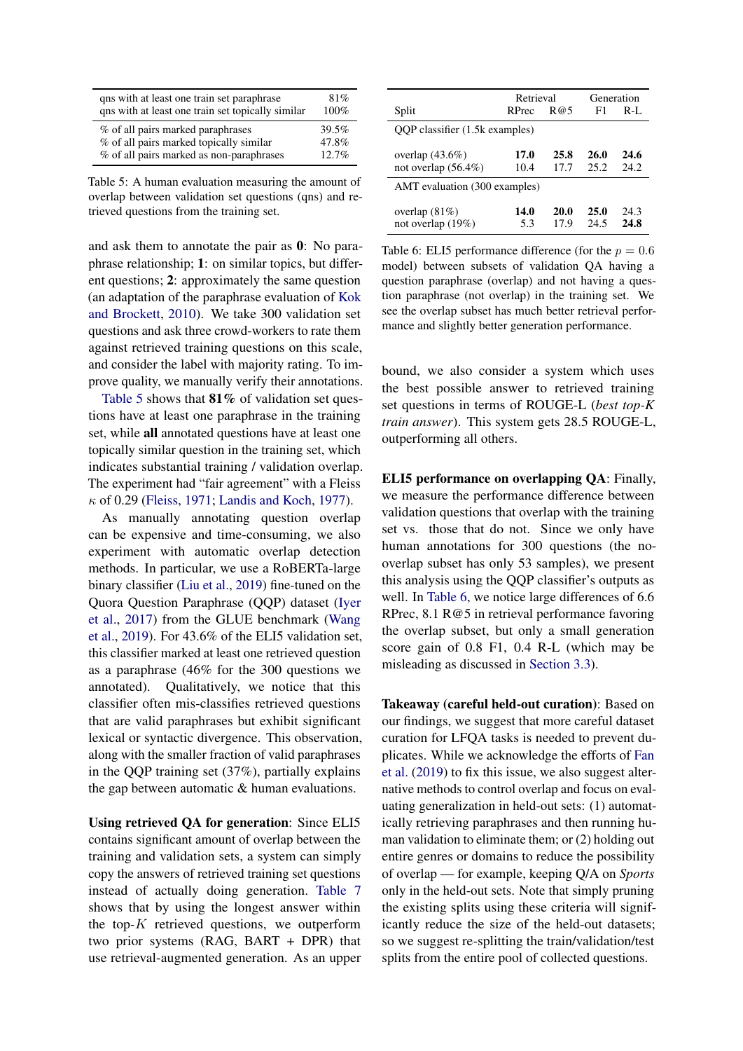<span id="page-6-0"></span>

| qns with at least one train set paraphrase        | 81%   |
|---------------------------------------------------|-------|
| qns with at least one train set topically similar | 100%  |
| % of all pairs marked paraphrases                 | 39.5% |
| % of all pairs marked topically similar           | 47.8% |
| % of all pairs marked as non-paraphrases          | 12.7% |

Table 5: A human evaluation measuring the amount of overlap between validation set questions (qns) and retrieved questions from the training set.

and ask them to annotate the pair as 0: No paraphrase relationship; 1: on similar topics, but different questions; 2: approximately the same question (an adaptation of the paraphrase evaluation of [Kok](#page-9-10) [and Brockett,](#page-9-10) [2010\)](#page-9-10). We take 300 validation set questions and ask three crowd-workers to rate them against retrieved training questions on this scale, and consider the label with majority rating. To improve quality, we manually verify their annotations.

[Table 5](#page-6-0) shows that  $81\%$  of validation set questions have at least one paraphrase in the training set, while all annotated questions have at least one topically similar question in the training set, which indicates substantial training / validation overlap. The experiment had "fair agreement" with a Fleiss  $\kappa$  of 0.29 [\(Fleiss,](#page-9-11) [1971;](#page-9-11) [Landis and Koch,](#page-10-16) [1977\)](#page-10-16).

As manually annotating question overlap can be expensive and time-consuming, we also experiment with automatic overlap detection methods. In particular, we use a RoBERTa-large binary classifier [\(Liu et al.,](#page-10-17) [2019\)](#page-10-17) fine-tuned on the Quora Question Paraphrase (QQP) dataset [\(Iyer](#page-9-12) [et al.,](#page-9-12) [2017\)](#page-9-12) from the GLUE benchmark [\(Wang](#page-11-4) [et al.,](#page-11-4) [2019\)](#page-11-4). For 43.6% of the ELI5 validation set, this classifier marked at least one retrieved question as a paraphrase (46% for the 300 questions we annotated). Qualitatively, we notice that this classifier often mis-classifies retrieved questions that are valid paraphrases but exhibit significant lexical or syntactic divergence. This observation, along with the smaller fraction of valid paraphrases in the QQP training set (37%), partially explains the gap between automatic & human evaluations.

Using retrieved QA for generation: Since ELI5 contains significant amount of overlap between the training and validation sets, a system can simply copy the answers of retrieved training set questions instead of actually doing generation. [Table 7](#page-7-1) shows that by using the longest answer within the top- $K$  retrieved questions, we outperform two prior systems (RAG, BART + DPR) that use retrieval-augmented generation. As an upper

<span id="page-6-1"></span>

|                                              | Retrieval    |                     |              | Generation   |  |
|----------------------------------------------|--------------|---------------------|--------------|--------------|--|
| Split                                        | RPrec        | R@5                 | F1           | $R-I.$       |  |
| QQP classifier (1.5k examples)               |              |                     |              |              |  |
| overlap $(43.6\%)$<br>not overlap $(56.4\%)$ | 17.0<br>10.4 | 25.8<br>17.7        | 26.0<br>25.2 | 24.6<br>24.2 |  |
| AMT evaluation (300 examples)                |              |                     |              |              |  |
| overlap $(81\%)$<br>not overlap (19%)        | 14.0<br>5.3  | <b>20.0</b><br>17.9 | 25.0<br>24.5 | 24.3<br>24.8 |  |

Table 6: ELI5 performance difference (for the  $p = 0.6$ ) model) between subsets of validation QA having a question paraphrase (overlap) and not having a question paraphrase (not overlap) in the training set. We see the overlap subset has much better retrieval performance and slightly better generation performance.

bound, we also consider a system which uses the best possible answer to retrieved training set questions in terms of ROUGE-L (*best top-K train answer*). This system gets 28.5 ROUGE-L, outperforming all others.

ELI5 performance on overlapping QA: Finally, we measure the performance difference between validation questions that overlap with the training set vs. those that do not. Since we only have human annotations for 300 questions (the nooverlap subset has only 53 samples), we present this analysis using the QQP classifier's outputs as well. In [Table 6,](#page-6-1) we notice large differences of 6.6 RPrec, 8.1 R@5 in retrieval performance favoring the overlap subset, but only a small generation score gain of 0.8 F1, 0.4 R-L (which may be misleading as discussed in [Section 3.3\)](#page-7-0).

Takeaway (careful held-out curation): Based on our findings, we suggest that more careful dataset curation for LFQA tasks is needed to prevent duplicates. While we acknowledge the efforts of [Fan](#page-9-3) [et al.](#page-9-3) [\(2019\)](#page-9-3) to fix this issue, we also suggest alternative methods to control overlap and focus on evaluating generalization in held-out sets: (1) automatically retrieving paraphrases and then running human validation to eliminate them; or (2) holding out entire genres or domains to reduce the possibility of overlap — for example, keeping Q/A on *Sports* only in the held-out sets. Note that simply pruning the existing splits using these criteria will significantly reduce the size of the held-out datasets; so we suggest re-splitting the train/validation/test splits from the entire pool of collected questions.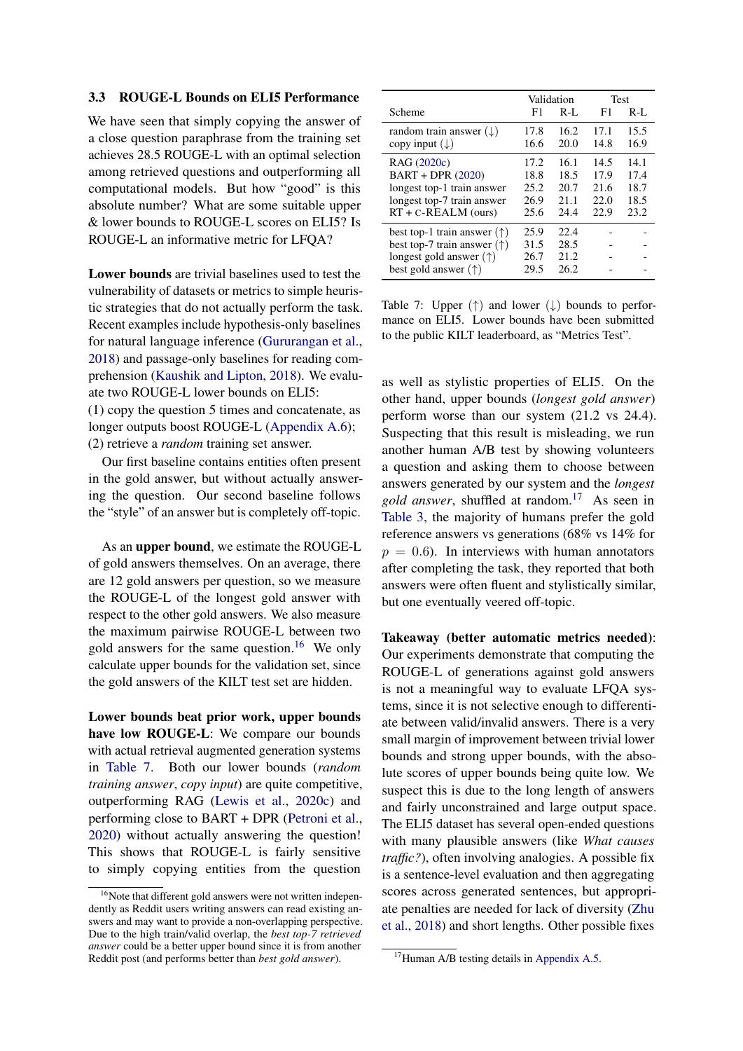### <span id="page-7-0"></span>3.3 ROUGE-L Bounds on ELI5 Performance

We have seen that simply copying the answer of a close question paraphrase from the training set achieves 28.5 ROUGE-L with an optimal selection among retrieved questions and outperforming all computational models. But how "good" is this absolute number? What are some suitable upper & lower bounds to ROUGE-L scores on ELI5? Is ROUGE-L an informative metric for LFQA?

Lower bounds are trivial baselines used to test the vulnerability of datasets or metrics to simple heuristic strategies that do not actually perform the task. Recent examples include hypothesis-only baselines for natural language inference [\(Gururangan et al.,](#page-9-13) [2018\)](#page-9-13) and passage-only baselines for reading comprehension [\(Kaushik and Lipton,](#page-9-14) [2018\)](#page-9-14). We evaluate two ROUGE-L lower bounds on ELI5:

(1) copy the question 5 times and concatenate, as longer outputs boost ROUGE-L [\(Appendix A.6\)](#page-14-1); (2) retrieve a *random* training set answer.

Our first baseline contains entities often present in the gold answer, but without actually answering the question. Our second baseline follows the "style" of an answer but is completely off-topic.

As an upper bound, we estimate the ROUGE-L of gold answers themselves. On an average, there are 12 gold answers per question, so we measure the ROUGE-L of the longest gold answer with respect to the other gold answers. We also measure the maximum pairwise ROUGE-L between two gold answers for the same question.<sup>[16](#page-7-2)</sup> We only calculate upper bounds for the validation set, since the gold answers of the KILT test set are hidden.

Lower bounds beat prior work, upper bounds have low ROUGE-L: We compare our bounds with actual retrieval augmented generation systems in [Table 7.](#page-7-1) Both our lower bounds (*random training answer*, *copy input*) are quite competitive, outperforming RAG [\(Lewis et al.,](#page-10-2) [2020c\)](#page-10-2) and performing close to BART + DPR [\(Petroni et al.,](#page-10-4) [2020\)](#page-10-4) without actually answering the question! This shows that ROUGE-L is fairly sensitive to simply copying entities from the question

<span id="page-7-1"></span>

|                                                                                                                                                   |                                      | Validation                           |                                      | <b>Test</b>                          |
|---------------------------------------------------------------------------------------------------------------------------------------------------|--------------------------------------|--------------------------------------|--------------------------------------|--------------------------------------|
| Scheme                                                                                                                                            | F1                                   | $R-I$ .                              | F1                                   | $R-I$ .                              |
| random train answer $(\downarrow)$<br>copy input $(\downarrow)$                                                                                   | 17.8<br>16.6                         | 16.2<br>20.0                         | 17.1<br>14.8                         | 15.5<br>16.9                         |
| RAG (2020c)<br>BART + DPR (2020)<br>longest top-1 train answer<br>longest top-7 train answer<br>$RT + C-REALM$ (ours)                             | 17.2<br>18.8<br>25.2<br>26.9<br>25.6 | 16.1<br>18.5<br>20.7<br>21.1<br>24.4 | 14.5<br>17.9<br>21.6<br>22.0<br>22.9 | 14.1<br>17.4<br>18.7<br>18.5<br>23.2 |
| best top-1 train answer $(\uparrow)$<br>best top-7 train answer $(\uparrow)$<br>longest gold answer $(\uparrow)$<br>best gold answer $(\uparrow)$ | 25.9<br>31.5<br>26.7<br>29.5         | 22.4<br>28.5<br>21.2<br>26.2         |                                      |                                      |

Table 7: Upper  $(\uparrow)$  and lower  $(\downarrow)$  bounds to performance on ELI5. Lower bounds have been submitted to the public KILT leaderboard, as "Metrics Test".

as well as stylistic properties of ELI5. On the other hand, upper bounds (*longest gold answer*) perform worse than our system (21.2 vs 24.4). Suspecting that this result is misleading, we run another human A/B test by showing volunteers a question and asking them to choose between answers generated by our system and the *longest gold answer*, shuffled at random.[17](#page-7-3) As seen in [Table 3,](#page-4-5) the majority of humans prefer the gold reference answers vs generations (68% vs 14% for  $p = 0.6$ ). In interviews with human annotators after completing the task, they reported that both answers were often fluent and stylistically similar, but one eventually veered off-topic.

Takeaway (better automatic metrics needed): Our experiments demonstrate that computing the ROUGE-L of generations against gold answers is not a meaningful way to evaluate LFQA systems, since it is not selective enough to differentiate between valid/invalid answers. There is a very small margin of improvement between trivial lower bounds and strong upper bounds, with the absolute scores of upper bounds being quite low. We suspect this is due to the long length of answers and fairly unconstrained and large output space. The ELI5 dataset has several open-ended questions with many plausible answers (like *What causes traffic?*), often involving analogies. A possible fix is a sentence-level evaluation and then aggregating scores across generated sentences, but appropriate penalties are needed for lack of diversity [\(Zhu](#page-11-5) [et al.,](#page-11-5) [2018\)](#page-11-5) and short lengths. Other possible fixes

<span id="page-7-2"></span><sup>&</sup>lt;sup>16</sup>Note that different gold answers were not written independently as Reddit users writing answers can read existing answers and may want to provide a non-overlapping perspective. Due to the high train/valid overlap, the *best top-7 retrieved answer* could be a better upper bound since it is from another Reddit post (and performs better than *best gold answer*).

<span id="page-7-3"></span><sup>&</sup>lt;sup>17</sup>Human A/B testing details in [Appendix A.5.](#page-13-3)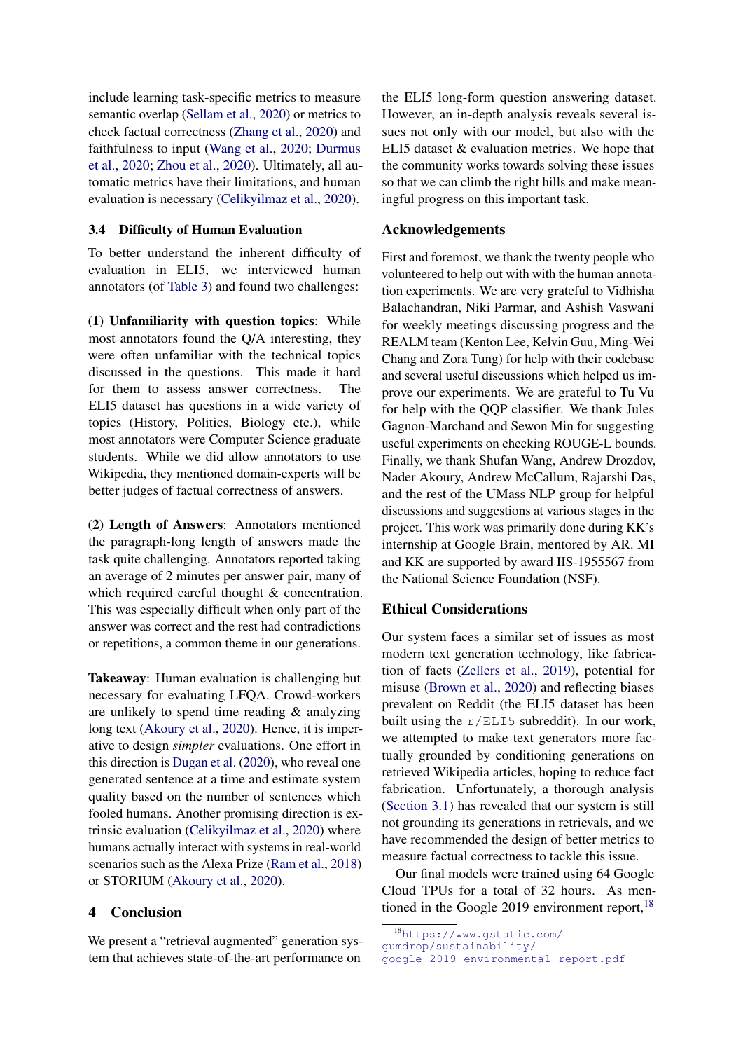include learning task-specific metrics to measure semantic overlap [\(Sellam et al.,](#page-10-18) [2020\)](#page-10-18) or metrics to check factual correctness [\(Zhang et al.,](#page-11-6) [2020\)](#page-11-6) and faithfulness to input [\(Wang et al.,](#page-10-19) [2020;](#page-10-19) [Durmus](#page-9-15) [et al.,](#page-9-15) [2020;](#page-9-15) [Zhou et al.,](#page-11-7) [2020\)](#page-11-7). Ultimately, all automatic metrics have their limitations, and human evaluation is necessary [\(Celikyilmaz et al.,](#page-9-16) [2020\)](#page-9-16).

# <span id="page-8-0"></span>3.4 Difficulty of Human Evaluation

To better understand the inherent difficulty of evaluation in ELI5, we interviewed human annotators (of [Table 3\)](#page-4-5) and found two challenges:

(1) Unfamiliarity with question topics: While most annotators found the Q/A interesting, they were often unfamiliar with the technical topics discussed in the questions. This made it hard for them to assess answer correctness. The ELI5 dataset has questions in a wide variety of topics (History, Politics, Biology etc.), while most annotators were Computer Science graduate students. While we did allow annotators to use Wikipedia, they mentioned domain-experts will be better judges of factual correctness of answers.

(2) Length of Answers: Annotators mentioned the paragraph-long length of answers made the task quite challenging. Annotators reported taking an average of 2 minutes per answer pair, many of which required careful thought & concentration. This was especially difficult when only part of the answer was correct and the rest had contradictions or repetitions, a common theme in our generations.

Takeaway: Human evaluation is challenging but necessary for evaluating LFQA. Crowd-workers are unlikely to spend time reading & analyzing long text [\(Akoury et al.,](#page-9-17) [2020\)](#page-9-17). Hence, it is imperative to design *simpler* evaluations. One effort in this direction is [Dugan et al.](#page-9-18) [\(2020\)](#page-9-18), who reveal one generated sentence at a time and estimate system quality based on the number of sentences which fooled humans. Another promising direction is extrinsic evaluation [\(Celikyilmaz et al.,](#page-9-16) [2020\)](#page-9-16) where humans actually interact with systems in real-world scenarios such as the Alexa Prize [\(Ram et al.,](#page-10-20) [2018\)](#page-10-20) or STORIUM [\(Akoury et al.,](#page-9-17) [2020\)](#page-9-17).

# 4 Conclusion

We present a "retrieval augmented" generation system that achieves state-of-the-art performance on

the ELI5 long-form question answering dataset. However, an in-depth analysis reveals several issues not only with our model, but also with the ELI5 dataset & evaluation metrics. We hope that the community works towards solving these issues so that we can climb the right hills and make meaningful progress on this important task.

# Acknowledgements

First and foremost, we thank the twenty people who volunteered to help out with with the human annotation experiments. We are very grateful to Vidhisha Balachandran, Niki Parmar, and Ashish Vaswani for weekly meetings discussing progress and the REALM team (Kenton Lee, Kelvin Guu, Ming-Wei Chang and Zora Tung) for help with their codebase and several useful discussions which helped us improve our experiments. We are grateful to Tu Vu for help with the QQP classifier. We thank Jules Gagnon-Marchand and Sewon Min for suggesting useful experiments on checking ROUGE-L bounds. Finally, we thank Shufan Wang, Andrew Drozdov, Nader Akoury, Andrew McCallum, Rajarshi Das, and the rest of the UMass NLP group for helpful discussions and suggestions at various stages in the project. This work was primarily done during KK's internship at Google Brain, mentored by AR. MI and KK are supported by award IIS-1955567 from the National Science Foundation (NSF).

# Ethical Considerations

Our system faces a similar set of issues as most modern text generation technology, like fabrication of facts [\(Zellers et al.,](#page-11-8) [2019\)](#page-11-8), potential for misuse [\(Brown et al.,](#page-9-19) [2020\)](#page-9-19) and reflecting biases prevalent on Reddit (the ELI5 dataset has been built using the  $r/ELI5$  subreddit). In our work, we attempted to make text generators more factually grounded by conditioning generations on retrieved Wikipedia articles, hoping to reduce fact fabrication. Unfortunately, a thorough analysis [\(Section 3.1\)](#page-3-1) has revealed that our system is still not grounding its generations in retrievals, and we have recommended the design of better metrics to measure factual correctness to tackle this issue.

Our final models were trained using 64 Google Cloud TPUs for a total of 32 hours. As mentioned in the Google 2019 environment report, $18$ 

<span id="page-8-1"></span><sup>18</sup>[https://www.gstatic.com/](https://www.gstatic.com/gumdrop/sustainability/google-2019-environmental-report.pdf) [gumdrop/sustainability/](https://www.gstatic.com/gumdrop/sustainability/google-2019-environmental-report.pdf) [google-2019-environmental-report.pdf](https://www.gstatic.com/gumdrop/sustainability/google-2019-environmental-report.pdf)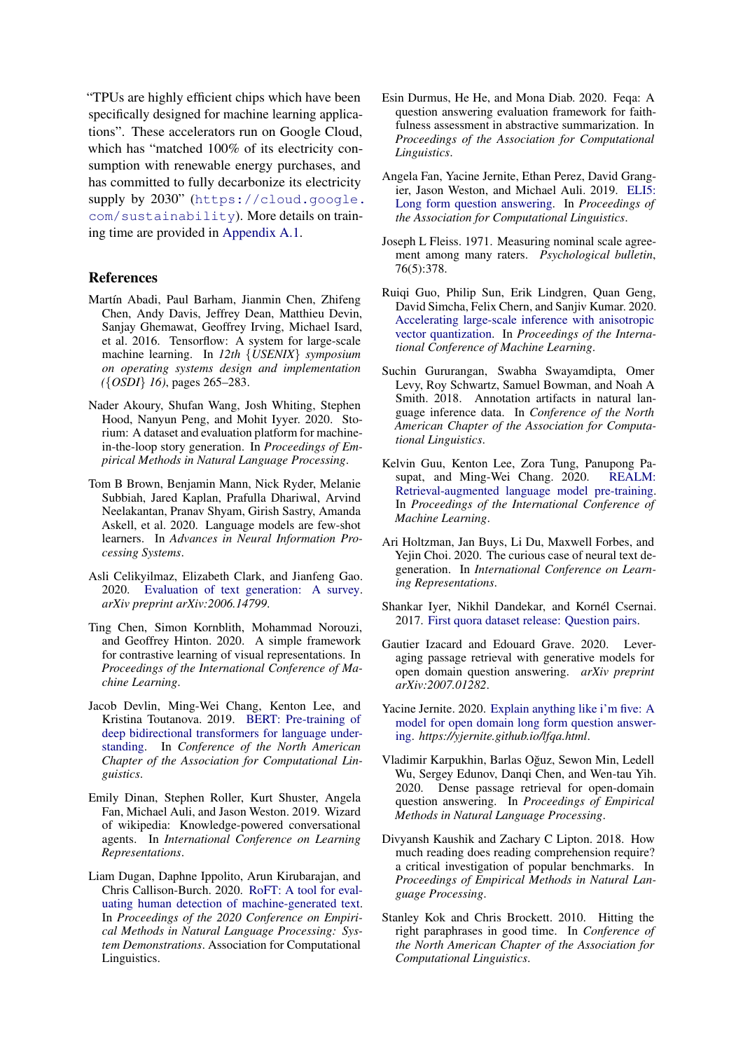"TPUs are highly efficient chips which have been specifically designed for machine learning applications". These accelerators run on Google Cloud, which has "matched 100% of its electricity consumption with renewable energy purchases, and has committed to fully decarbonize its electricity supply by 2030" ([https://cloud.google.](https://cloud.google.com/sustainability) [com/sustainability](https://cloud.google.com/sustainability)). More details on training time are provided in [Appendix A.1.](#page-12-0)

# References

- <span id="page-9-20"></span>Martín Abadi, Paul Barham, Jianmin Chen, Zhifeng Chen, Andy Davis, Jeffrey Dean, Matthieu Devin, Sanjay Ghemawat, Geoffrey Irving, Michael Isard, et al. 2016. Tensorflow: A system for large-scale machine learning. In *12th* {*USENIX*} *symposium on operating systems design and implementation (*{*OSDI*} *16)*, pages 265–283.
- <span id="page-9-17"></span>Nader Akoury, Shufan Wang, Josh Whiting, Stephen Hood, Nanyun Peng, and Mohit Iyyer. 2020. Storium: A dataset and evaluation platform for machinein-the-loop story generation. In *Proceedings of Empirical Methods in Natural Language Processing*.
- <span id="page-9-19"></span>Tom B Brown, Benjamin Mann, Nick Ryder, Melanie Subbiah, Jared Kaplan, Prafulla Dhariwal, Arvind Neelakantan, Pranav Shyam, Girish Sastry, Amanda Askell, et al. 2020. Language models are few-shot learners. In *Advances in Neural Information Processing Systems*.
- <span id="page-9-16"></span>Asli Celikyilmaz, Elizabeth Clark, and Jianfeng Gao. 2020. [Evaluation of text generation: A survey.](https://arxiv.org/abs/2006.14799) *arXiv preprint arXiv:2006.14799*.
- <span id="page-9-6"></span>Ting Chen, Simon Kornblith, Mohammad Norouzi, and Geoffrey Hinton. 2020. A simple framework for contrastive learning of visual representations. In *Proceedings of the International Conference of Machine Learning*.
- <span id="page-9-5"></span>Jacob Devlin, Ming-Wei Chang, Kenton Lee, and Kristina Toutanova. 2019. [BERT: Pre-training of](https://doi.org/10.18653/v1/N19-1423) [deep bidirectional transformers for language under](https://doi.org/10.18653/v1/N19-1423)[standing.](https://doi.org/10.18653/v1/N19-1423) In *Conference of the North American Chapter of the Association for Computational Linguistics*.
- <span id="page-9-9"></span>Emily Dinan, Stephen Roller, Kurt Shuster, Angela Fan, Michael Auli, and Jason Weston. 2019. Wizard of wikipedia: Knowledge-powered conversational agents. In *International Conference on Learning Representations*.
- <span id="page-9-18"></span>Liam Dugan, Daphne Ippolito, Arun Kirubarajan, and Chris Callison-Burch. 2020. [RoFT: A tool for eval](https://www.aclweb.org/anthology/2020.emnlp-demos.25)[uating human detection of machine-generated text.](https://www.aclweb.org/anthology/2020.emnlp-demos.25) In *Proceedings of the 2020 Conference on Empirical Methods in Natural Language Processing: System Demonstrations*. Association for Computational Linguistics.
- <span id="page-9-15"></span>Esin Durmus, He He, and Mona Diab. 2020. Feqa: A question answering evaluation framework for faithfulness assessment in abstractive summarization. In *Proceedings of the Association for Computational Linguistics*.
- <span id="page-9-3"></span>Angela Fan, Yacine Jernite, Ethan Perez, David Grangier, Jason Weston, and Michael Auli. 2019. [ELI5:](https://doi.org/10.18653/v1/P19-1346) [Long form question answering.](https://doi.org/10.18653/v1/P19-1346) In *Proceedings of the Association for Computational Linguistics*.
- <span id="page-9-11"></span>Joseph L Fleiss. 1971. Measuring nominal scale agreement among many raters. *Psychological bulletin*, 76(5):378.
- <span id="page-9-7"></span>Ruiqi Guo, Philip Sun, Erik Lindgren, Quan Geng, David Simcha, Felix Chern, and Sanjiv Kumar. 2020. [Accelerating large-scale inference with anisotropic](https://arxiv.org/abs/1908.10396) [vector quantization.](https://arxiv.org/abs/1908.10396) In *Proceedings of the International Conference of Machine Learning*.
- <span id="page-9-13"></span>Suchin Gururangan, Swabha Swayamdipta, Omer Levy, Roy Schwartz, Samuel Bowman, and Noah A Smith. 2018. Annotation artifacts in natural language inference data. In *Conference of the North American Chapter of the Association for Computational Linguistics*.
- <span id="page-9-0"></span>Kelvin Guu, Kenton Lee, Zora Tung, Panupong Pasupat, and Ming-Wei Chang. 2020. [REALM:](https://arxiv.org/abs/2002.08909) [Retrieval-augmented language model pre-training.](https://arxiv.org/abs/2002.08909) In *Proceedings of the International Conference of Machine Learning*.
- <span id="page-9-8"></span>Ari Holtzman, Jan Buys, Li Du, Maxwell Forbes, and Yejin Choi. 2020. The curious case of neural text degeneration. In *International Conference on Learning Representations*.
- <span id="page-9-12"></span>Shankar Iyer, Nikhil Dandekar, and Kornél Csernai. 2017. [First quora dataset release: Question pairs.](https://www.quora.com/q/quoradata/First-Quora-Dataset-Release-Question-Pairs)
- <span id="page-9-2"></span>Gautier Izacard and Edouard Grave. 2020. Leveraging passage retrieval with generative models for open domain question answering. *arXiv preprint arXiv:2007.01282*.
- <span id="page-9-4"></span>Yacine Jernite. 2020. [Explain anything like i'm five: A](https://yjernite.github.io/lfqa.html) [model for open domain long form question answer](https://yjernite.github.io/lfqa.html)[ing.](https://yjernite.github.io/lfqa.html) *https://yjernite.github.io/lfqa.html*.
- <span id="page-9-1"></span>Vladimir Karpukhin, Barlas Oguz, Sewon Min, Ledell ˘ Wu, Sergey Edunov, Dangi Chen, and Wen-tau Yih. 2020. Dense passage retrieval for open-domain question answering. In *Proceedings of Empirical Methods in Natural Language Processing*.
- <span id="page-9-14"></span>Divyansh Kaushik and Zachary C Lipton. 2018. How much reading does reading comprehension require? a critical investigation of popular benchmarks. In *Proceedings of Empirical Methods in Natural Language Processing*.
- <span id="page-9-10"></span>Stanley Kok and Chris Brockett. 2010. Hitting the right paraphrases in good time. In *Conference of the North American Chapter of the Association for Computational Linguistics*.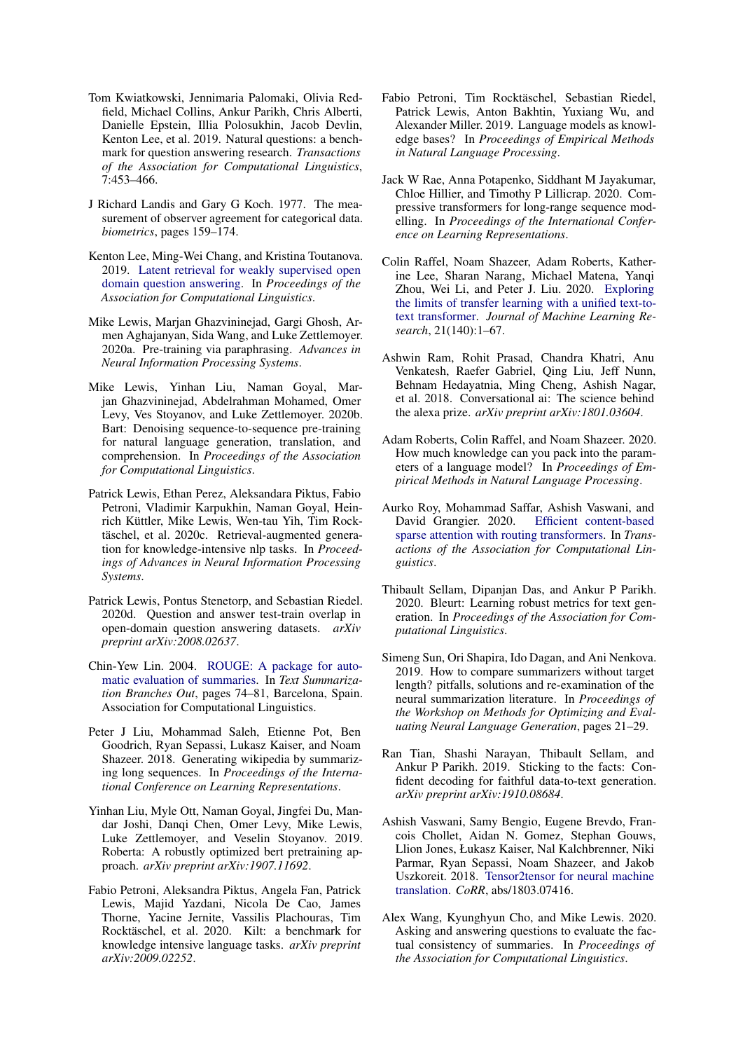- <span id="page-10-0"></span>Tom Kwiatkowski, Jennimaria Palomaki, Olivia Redfield, Michael Collins, Ankur Parikh, Chris Alberti, Danielle Epstein, Illia Polosukhin, Jacob Devlin, Kenton Lee, et al. 2019. Natural questions: a benchmark for question answering research. *Transactions of the Association for Computational Linguistics*, 7:453–466.
- <span id="page-10-16"></span>J Richard Landis and Gary G Koch. 1977. The measurement of observer agreement for categorical data. *biometrics*, pages 159–174.
- <span id="page-10-1"></span>Kenton Lee, Ming-Wei Chang, and Kristina Toutanova. 2019. [Latent retrieval for weakly supervised open](https://doi.org/10.18653/v1/P19-1612) [domain question answering.](https://doi.org/10.18653/v1/P19-1612) In *Proceedings of the Association for Computational Linguistics*.
- <span id="page-10-10"></span>Mike Lewis, Marjan Ghazvininejad, Gargi Ghosh, Armen Aghajanyan, Sida Wang, and Luke Zettlemoyer. 2020a. Pre-training via paraphrasing. *Advances in Neural Information Processing Systems*.
- <span id="page-10-3"></span>Mike Lewis, Yinhan Liu, Naman Goyal, Marjan Ghazvininejad, Abdelrahman Mohamed, Omer Levy, Ves Stoyanov, and Luke Zettlemoyer. 2020b. Bart: Denoising sequence-to-sequence pre-training for natural language generation, translation, and comprehension. In *Proceedings of the Association for Computational Linguistics*.
- <span id="page-10-2"></span>Patrick Lewis, Ethan Perez, Aleksandara Piktus, Fabio Petroni, Vladimir Karpukhin, Naman Goyal, Heinrich Küttler, Mike Lewis, Wen-tau Yih, Tim Rocktäschel, et al. 2020c. Retrieval-augmented generation for knowledge-intensive nlp tasks. In *Proceedings of Advances in Neural Information Processing Systems*.
- <span id="page-10-15"></span>Patrick Lewis, Pontus Stenetorp, and Sebastian Riedel. 2020d. Question and answer test-train overlap in open-domain question answering datasets. *arXiv preprint arXiv:2008.02637*.
- <span id="page-10-11"></span>Chin-Yew Lin. 2004. [ROUGE: A package for auto](https://www.aclweb.org/anthology/W04-1013)[matic evaluation of summaries.](https://www.aclweb.org/anthology/W04-1013) In *Text Summarization Branches Out*, pages 74–81, Barcelona, Spain. Association for Computational Linguistics.
- <span id="page-10-9"></span>Peter J Liu, Mohammad Saleh, Etienne Pot, Ben Goodrich, Ryan Sepassi, Lukasz Kaiser, and Noam Shazeer. 2018. Generating wikipedia by summarizing long sequences. In *Proceedings of the International Conference on Learning Representations*.
- <span id="page-10-17"></span>Yinhan Liu, Myle Ott, Naman Goyal, Jingfei Du, Mandar Joshi, Danqi Chen, Omer Levy, Mike Lewis, Luke Zettlemoyer, and Veselin Stoyanov. 2019. Roberta: A robustly optimized bert pretraining approach. *arXiv preprint arXiv:1907.11692*.
- <span id="page-10-4"></span>Fabio Petroni, Aleksandra Piktus, Angela Fan, Patrick Lewis, Majid Yazdani, Nicola De Cao, James Thorne, Yacine Jernite, Vassilis Plachouras, Tim Rocktäschel, et al. 2020. Kilt: a benchmark for knowledge intensive language tasks. *arXiv preprint arXiv:2009.02252*.
- <span id="page-10-6"></span>Fabio Petroni, Tim Rocktäschel, Sebastian Riedel, Patrick Lewis, Anton Bakhtin, Yuxiang Wu, and Alexander Miller. 2019. Language models as knowledge bases? In *Proceedings of Empirical Methods in Natural Language Processing*.
- <span id="page-10-8"></span>Jack W Rae, Anna Potapenko, Siddhant M Jayakumar, Chloe Hillier, and Timothy P Lillicrap. 2020. Compressive transformers for long-range sequence modelling. In *Proceedings of the International Conference on Learning Representations*.
- <span id="page-10-12"></span>Colin Raffel, Noam Shazeer, Adam Roberts, Katherine Lee, Sharan Narang, Michael Matena, Yanqi Zhou, Wei Li, and Peter J. Liu. 2020. [Exploring](http://jmlr.org/papers/v21/20-074.html) [the limits of transfer learning with a unified text-to](http://jmlr.org/papers/v21/20-074.html)[text transformer.](http://jmlr.org/papers/v21/20-074.html) *Journal of Machine Learning Research*, 21(140):1–67.
- <span id="page-10-20"></span>Ashwin Ram, Rohit Prasad, Chandra Khatri, Anu Venkatesh, Raefer Gabriel, Qing Liu, Jeff Nunn, Behnam Hedayatnia, Ming Cheng, Ashish Nagar, et al. 2018. Conversational ai: The science behind the alexa prize. *arXiv preprint arXiv:1801.03604*.
- <span id="page-10-7"></span>Adam Roberts, Colin Raffel, and Noam Shazeer. 2020. How much knowledge can you pack into the parameters of a language model? In *Proceedings of Empirical Methods in Natural Language Processing*.
- <span id="page-10-5"></span>Aurko Roy, Mohammad Saffar, Ashish Vaswani, and David Grangier. 2020. [Efficient content-based](https://arxiv.org/abs/2003.05997) [sparse attention with routing transformers.](https://arxiv.org/abs/2003.05997) In *Transactions of the Association for Computational Linguistics*.
- <span id="page-10-18"></span>Thibault Sellam, Dipanjan Das, and Ankur P Parikh. 2020. Bleurt: Learning robust metrics for text generation. In *Proceedings of the Association for Computational Linguistics*.
- <span id="page-10-14"></span>Simeng Sun, Ori Shapira, Ido Dagan, and Ani Nenkova. 2019. How to compare summarizers without target length? pitfalls, solutions and re-examination of the neural summarization literature. In *Proceedings of the Workshop on Methods for Optimizing and Evaluating Neural Language Generation*, pages 21–29.
- <span id="page-10-13"></span>Ran Tian, Shashi Narayan, Thibault Sellam, and Ankur P Parikh. 2019. Sticking to the facts: Confident decoding for faithful data-to-text generation. *arXiv preprint arXiv:1910.08684*.
- <span id="page-10-21"></span>Ashish Vaswani, Samy Bengio, Eugene Brevdo, Francois Chollet, Aidan N. Gomez, Stephan Gouws, Llion Jones, Łukasz Kaiser, Nal Kalchbrenner, Niki Parmar, Ryan Sepassi, Noam Shazeer, and Jakob Uszkoreit. 2018. [Tensor2tensor for neural machine](http://arxiv.org/abs/1803.07416) [translation.](http://arxiv.org/abs/1803.07416) *CoRR*, abs/1803.07416.
- <span id="page-10-19"></span>Alex Wang, Kyunghyun Cho, and Mike Lewis. 2020. Asking and answering questions to evaluate the factual consistency of summaries. In *Proceedings of the Association for Computational Linguistics*.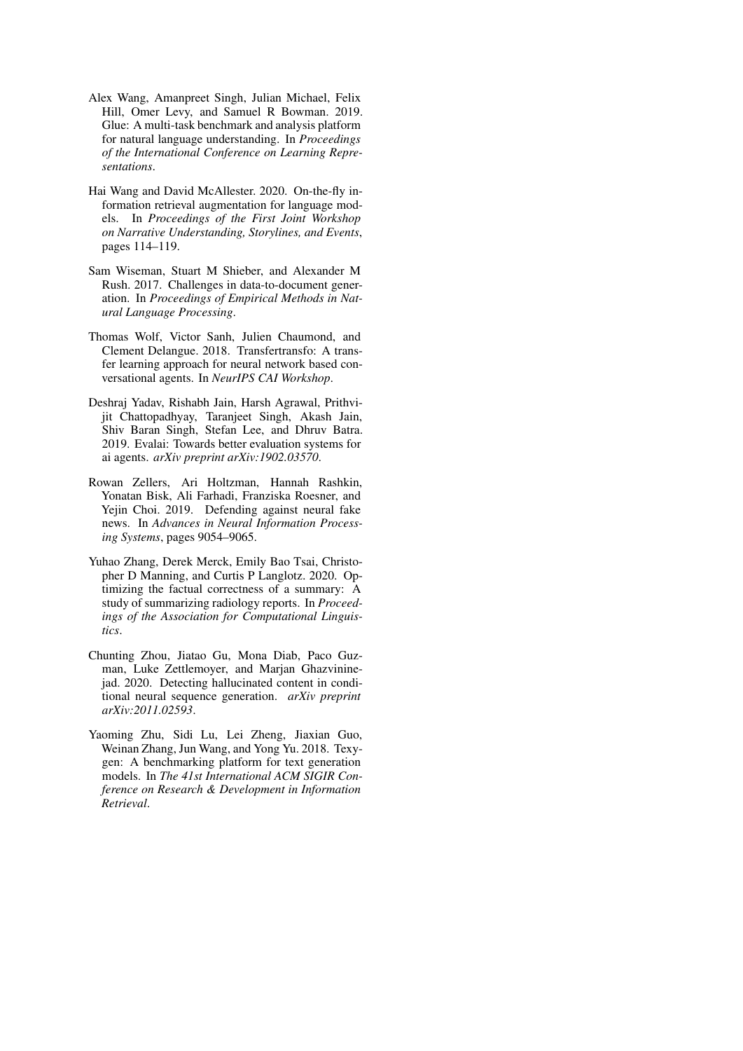- <span id="page-11-4"></span>Alex Wang, Amanpreet Singh, Julian Michael, Felix Hill, Omer Levy, and Samuel R Bowman. 2019. Glue: A multi-task benchmark and analysis platform for natural language understanding. In *Proceedings of the International Conference on Learning Representations*.
- <span id="page-11-1"></span>Hai Wang and David McAllester. 2020. On-the-fly information retrieval augmentation for language models. In *Proceedings of the First Joint Workshop on Narrative Understanding, Storylines, and Events*, pages 114–119.
- <span id="page-11-3"></span>Sam Wiseman, Stuart M Shieber, and Alexander M Rush. 2017. Challenges in data-to-document generation. In *Proceedings of Empirical Methods in Natural Language Processing*.
- <span id="page-11-0"></span>Thomas Wolf, Victor Sanh, Julien Chaumond, and Clement Delangue. 2018. Transfertransfo: A transfer learning approach for neural network based conversational agents. In *NeurIPS CAI Workshop*.
- <span id="page-11-2"></span>Deshraj Yadav, Rishabh Jain, Harsh Agrawal, Prithvijit Chattopadhyay, Taranjeet Singh, Akash Jain, Shiv Baran Singh, Stefan Lee, and Dhruv Batra. 2019. Evalai: Towards better evaluation systems for ai agents. *arXiv preprint arXiv:1902.03570*.
- <span id="page-11-8"></span>Rowan Zellers, Ari Holtzman, Hannah Rashkin, Yonatan Bisk, Ali Farhadi, Franziska Roesner, and Yejin Choi. 2019. Defending against neural fake news. In *Advances in Neural Information Processing Systems*, pages 9054–9065.
- <span id="page-11-6"></span>Yuhao Zhang, Derek Merck, Emily Bao Tsai, Christopher D Manning, and Curtis P Langlotz. 2020. Optimizing the factual correctness of a summary: A study of summarizing radiology reports. In *Proceedings of the Association for Computational Linguistics*.
- <span id="page-11-7"></span>Chunting Zhou, Jiatao Gu, Mona Diab, Paco Guzman, Luke Zettlemoyer, and Marjan Ghazvininejad. 2020. Detecting hallucinated content in conditional neural sequence generation. *arXiv preprint arXiv:2011.02593*.
- <span id="page-11-5"></span>Yaoming Zhu, Sidi Lu, Lei Zheng, Jiaxian Guo, Weinan Zhang, Jun Wang, and Yong Yu. 2018. Texygen: A benchmarking platform for text generation models. In *The 41st International ACM SIGIR Conference on Research & Development in Information Retrieval*.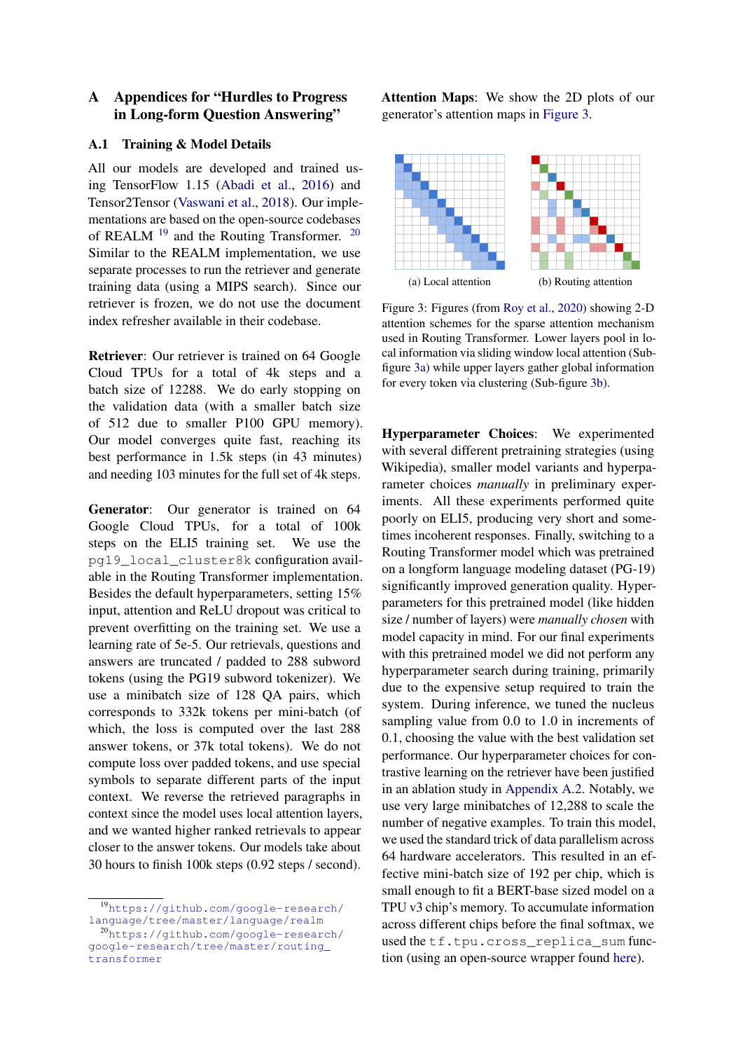# A Appendices for "Hurdles to Progress in Long-form Question Answering"

# <span id="page-12-0"></span>A.1 Training & Model Details

All our models are developed and trained using TensorFlow 1.15 [\(Abadi et al.,](#page-9-20) [2016\)](#page-9-20) and Tensor2Tensor [\(Vaswani et al.,](#page-10-21) [2018\)](#page-10-21). Our implementations are based on the open-source codebases of REALM <sup>[19](#page-12-1)</sup> and the Routing Transformer. <sup>[20](#page-12-2)</sup> Similar to the REALM implementation, we use separate processes to run the retriever and generate training data (using a MIPS search). Since our retriever is frozen, we do not use the document index refresher available in their codebase.

Retriever: Our retriever is trained on 64 Google Cloud TPUs for a total of 4k steps and a batch size of 12288. We do early stopping on the validation data (with a smaller batch size of 512 due to smaller P100 GPU memory). Our model converges quite fast, reaching its best performance in 1.5k steps (in 43 minutes) and needing 103 minutes for the full set of 4k steps.

Generator: Our generator is trained on 64 Google Cloud TPUs, for a total of 100k steps on the ELI5 training set. We use the pg19\_local\_cluster8k configuration available in the Routing Transformer implementation. Besides the default hyperparameters, setting 15% input, attention and ReLU dropout was critical to prevent overfitting on the training set. We use a learning rate of 5e-5. Our retrievals, questions and answers are truncated / padded to 288 subword tokens (using the PG19 subword tokenizer). We use a minibatch size of 128 QA pairs, which corresponds to 332k tokens per mini-batch (of which, the loss is computed over the last 288 answer tokens, or 37k total tokens). We do not compute loss over padded tokens, and use special symbols to separate different parts of the input context. We reverse the retrieved paragraphs in context since the model uses local attention layers, and we wanted higher ranked retrievals to appear closer to the answer tokens. Our models take about 30 hours to finish 100k steps (0.92 steps / second).

Attention Maps: We show the 2D plots of our generator's attention maps in [Figure 3.](#page-12-3)

<span id="page-12-3"></span>

Figure 3: Figures (from [Roy et al.,](#page-10-5) [2020\)](#page-10-5) showing 2-D attention schemes for the sparse attention mechanism used in Routing Transformer. Lower layers pool in local information via sliding window local attention (Subfigure [3a\)](#page-12-3) while upper layers gather global information for every token via clustering (Sub-figure [3b\)](#page-12-3).

Hyperparameter Choices: We experimented with several different pretraining strategies (using Wikipedia), smaller model variants and hyperparameter choices *manually* in preliminary experiments. All these experiments performed quite poorly on ELI5, producing very short and sometimes incoherent responses. Finally, switching to a Routing Transformer model which was pretrained on a longform language modeling dataset (PG-19) significantly improved generation quality. Hyperparameters for this pretrained model (like hidden size / number of layers) were *manually chosen* with model capacity in mind. For our final experiments with this pretrained model we did not perform any hyperparameter search during training, primarily due to the expensive setup required to train the system. During inference, we tuned the nucleus sampling value from 0.0 to 1.0 in increments of 0.1, choosing the value with the best validation set performance. Our hyperparameter choices for contrastive learning on the retriever have been justified in an ablation study in [Appendix A.2.](#page-13-0) Notably, we use very large minibatches of 12,288 to scale the number of negative examples. To train this model, we used the standard trick of data parallelism across 64 hardware accelerators. This resulted in an effective mini-batch size of 192 per chip, which is small enough to fit a BERT-base sized model on a TPU v3 chip's memory. To accumulate information across different chips before the final softmax, we used the tf.tpu.cross replica sum function (using an open-source wrapper found [here\)](https://github.com/google-research/language/blob/master/language/common/utils/tpu_utils.py#L83).

<span id="page-12-1"></span><sup>19</sup>[https://github.com/google-research/](https://github.com/google-research/language/tree/master/language/realm) [language/tree/master/language/realm](https://github.com/google-research/language/tree/master/language/realm)

<span id="page-12-2"></span><sup>20</sup>[https://github.com/google-research/](https://github.com/google-research/google-research/tree/master/routing_transformer) [google-research/tree/master/routing\\_](https://github.com/google-research/google-research/tree/master/routing_transformer) [transformer](https://github.com/google-research/google-research/tree/master/routing_transformer)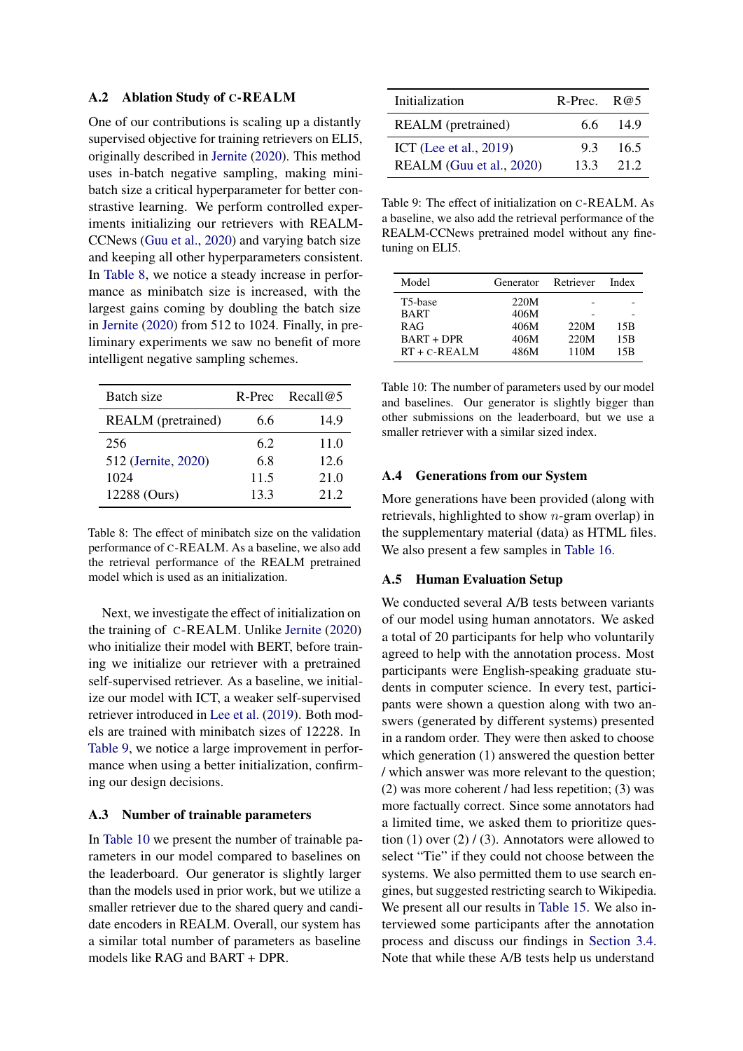### <span id="page-13-0"></span>A.2 Ablation Study of C-REALM

One of our contributions is scaling up a distantly supervised objective for training retrievers on ELI5, originally described in [Jernite](#page-9-4) [\(2020\)](#page-9-4). This method uses in-batch negative sampling, making minibatch size a critical hyperparameter for better constrastive learning. We perform controlled experiments initializing our retrievers with REALM-CCNews [\(Guu et al.,](#page-9-0) [2020\)](#page-9-0) and varying batch size and keeping all other hyperparameters consistent. In [Table 8,](#page-13-4) we notice a steady increase in performance as minibatch size is increased, with the largest gains coming by doubling the batch size in [Jernite](#page-9-4) [\(2020\)](#page-9-4) from 512 to 1024. Finally, in preliminary experiments we saw no benefit of more intelligent negative sampling schemes.

<span id="page-13-4"></span>

| Batch size                | R-Prec | Recall $@5$ |
|---------------------------|--------|-------------|
| <b>REALM</b> (pretrained) | 6.6    | 14.9        |
| 256                       | 6.2    | 11.0        |
| 512 (Jernite, 2020)       | 6.8    | 12.6        |
| 1024                      | 11.5   | 21.0        |
| 12288 (Ours)              | 13.3   | 21 2        |

Table 8: The effect of minibatch size on the validation performance of C-REALM. As a baseline, we also add the retrieval performance of the REALM pretrained model which is used as an initialization.

Next, we investigate the effect of initialization on the training of C-REALM. Unlike [Jernite](#page-9-4) [\(2020\)](#page-9-4) who initialize their model with BERT, before training we initialize our retriever with a pretrained self-supervised retriever. As a baseline, we initialize our model with ICT, a weaker self-supervised retriever introduced in [Lee et al.](#page-10-1) [\(2019\)](#page-10-1). Both models are trained with minibatch sizes of 12228. In [Table 9,](#page-13-5) we notice a large improvement in performance when using a better initialization, confirming our design decisions.

### <span id="page-13-1"></span>A.3 Number of trainable parameters

In [Table 10](#page-13-6) we present the number of trainable parameters in our model compared to baselines on the leaderboard. Our generator is slightly larger than the models used in prior work, but we utilize a smaller retriever due to the shared query and candidate encoders in REALM. Overall, our system has a similar total number of parameters as baseline models like RAG and BART + DPR.

<span id="page-13-5"></span>

| Initialization                                     | R-Prec. $R@5$ |              |
|----------------------------------------------------|---------------|--------------|
| <b>REALM</b> (pretrained)                          | 66.           | -149         |
| ICT (Lee et al., 2019)<br>REALM (Guu et al., 2020) | 93<br>13.3    | 16.5<br>21 2 |

Table 9: The effect of initialization on C-REALM. As a baseline, we also add the retrieval performance of the REALM-CCNews pretrained model without any finetuning on ELI5.

<span id="page-13-6"></span>

| Model             | Generator | Retriever | Index |
|-------------------|-----------|-----------|-------|
| T5-base           | 220M      |           |       |
| <b>BART</b>       | 406M      |           |       |
| <b>RAG</b>        | 406M      | 220M      | 15B   |
| <b>BART + DPR</b> | 406M      | 220M      | 15B   |
| $RT + C - REALM$  | 486M      | 110M      | 15B   |

Table 10: The number of parameters used by our model and baselines. Our generator is slightly bigger than other submissions on the leaderboard, but we use a smaller retriever with a similar sized index.

### <span id="page-13-2"></span>A.4 Generations from our System

More generations have been provided (along with retrievals, highlighted to show n-gram overlap) in the supplementary material (data) as HTML files. We also present a few samples in [Table 16.](#page-17-0)

# <span id="page-13-3"></span>A.5 Human Evaluation Setup

We conducted several A/B tests between variants of our model using human annotators. We asked a total of 20 participants for help who voluntarily agreed to help with the annotation process. Most participants were English-speaking graduate students in computer science. In every test, participants were shown a question along with two answers (generated by different systems) presented in a random order. They were then asked to choose which generation (1) answered the question better / which answer was more relevant to the question; (2) was more coherent / had less repetition; (3) was more factually correct. Since some annotators had a limited time, we asked them to prioritize question (1) over  $(2) / (3)$ . Annotators were allowed to select "Tie" if they could not choose between the systems. We also permitted them to use search engines, but suggested restricting search to Wikipedia. We present all our results in [Table 15.](#page-16-0) We also interviewed some participants after the annotation process and discuss our findings in [Section 3.4.](#page-8-0) Note that while these A/B tests help us understand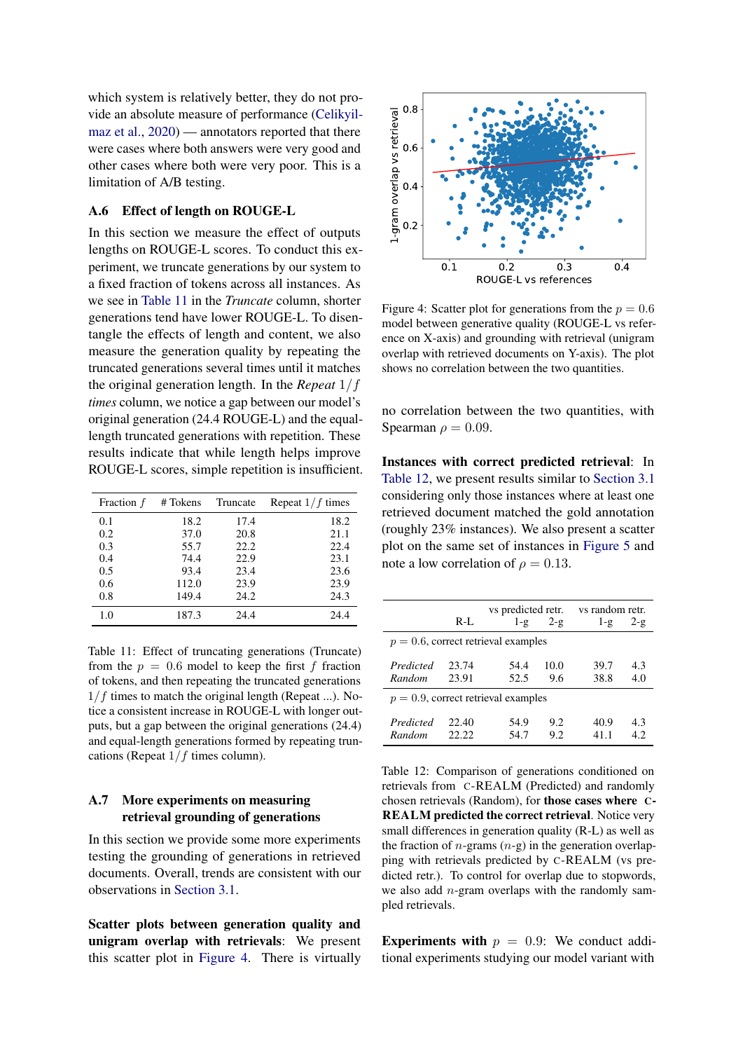which system is relatively better, they do not provide an absolute measure of performance [\(Celikyil](#page-9-16)[maz et al.,](#page-9-16) [2020\)](#page-9-16) — annotators reported that there were cases where both answers were very good and other cases where both were very poor. This is a limitation of A/B testing.

# <span id="page-14-1"></span>A.6 Effect of length on ROUGE-L

In this section we measure the effect of outputs lengths on ROUGE-L scores. To conduct this experiment, we truncate generations by our system to a fixed fraction of tokens across all instances. As we see in [Table 11](#page-14-2) in the *Truncate* column, shorter generations tend have lower ROUGE-L. To disentangle the effects of length and content, we also measure the generation quality by repeating the truncated generations several times until it matches the original generation length. In the *Repeat* 1/f *times* column, we notice a gap between our model's original generation (24.4 ROUGE-L) and the equallength truncated generations with repetition. These results indicate that while length helps improve ROUGE-L scores, simple repetition is insufficient.

<span id="page-14-2"></span>

| Fraction $f$ | # Tokens | Truncate | Repeat $1/f$ times |
|--------------|----------|----------|--------------------|
| 0.1          | 18.2     | 17.4     | 18.2               |
| 0.2          | 37.0     | 20.8     | 21.1               |
| 0.3          | 55.7     | 22.2     | 22.4               |
| 0.4          | 74.4     | 22.9     | 23.1               |
| 0.5          | 93.4     | 23.4     | 23.6               |
| 0.6          | 112.0    | 23.9     | 23.9               |
| 0.8          | 149.4    | 24.2     | 24.3               |
| 1.0          | 187.3    | 24.4     | 24.4               |

Table 11: Effect of truncating generations (Truncate) from the  $p = 0.6$  model to keep the first f fraction of tokens, and then repeating the truncated generations  $1/f$  times to match the original length (Repeat ...). Notice a consistent increase in ROUGE-L with longer outputs, but a gap between the original generations (24.4) and equal-length generations formed by repeating truncations (Repeat  $1/f$  times column).

# <span id="page-14-0"></span>A.7 More experiments on measuring retrieval grounding of generations

In this section we provide some more experiments testing the grounding of generations in retrieved documents. Overall, trends are consistent with our observations in [Section 3.1.](#page-3-1)

Scatter plots between generation quality and unigram overlap with retrievals: We present this scatter plot in [Figure 4.](#page-14-3) There is virtually

<span id="page-14-3"></span>

Figure 4: Scatter plot for generations from the  $p = 0.6$ model between generative quality (ROUGE-L vs reference on X-axis) and grounding with retrieval (unigram overlap with retrieved documents on Y-axis). The plot shows no correlation between the two quantities.

no correlation between the two quantities, with Spearman  $\rho = 0.09$ .

Instances with correct predicted retrieval: In [Table 12,](#page-14-4) we present results similar to [Section 3.1](#page-3-1) considering only those instances where at least one retrieved document matched the gold annotation (roughly 23% instances). We also present a scatter plot on the same set of instances in [Figure 5](#page-15-0) and note a low correlation of  $\rho = 0.13$ .

<span id="page-14-4"></span>

|                                        |         | vs predicted retr. |         | vs random retr. |              |  |  |
|----------------------------------------|---------|--------------------|---------|-----------------|--------------|--|--|
|                                        | $R-I$ . | $1 - g$            | $2 - g$ | $1 - g$         | $2 - \alpha$ |  |  |
| $p = 0.6$ , correct retrieval examples |         |                    |         |                 |              |  |  |
| Predicted                              | 23.74   | 54.4               | 10.0    | 39.7            | 4.3          |  |  |
| Random                                 | 23.91   | 52.5               | 9.6     | 38.8            | 4.0          |  |  |
| $p = 0.9$ , correct retrieval examples |         |                    |         |                 |              |  |  |
| Predicted                              | 22.40   | 54.9               | 9.2     | 40.9            | 4.3          |  |  |
| Random                                 | 22.22   | 54.7               | 9.2     | 411             | 42           |  |  |

Table 12: Comparison of generations conditioned on retrievals from C-REALM (Predicted) and randomly chosen retrievals (Random), for those cases where C-REALM predicted the correct retrieval. Notice very small differences in generation quality (R-L) as well as the fraction of *n*-grams  $(n-g)$  in the generation overlapping with retrievals predicted by C-REALM (vs predicted retr.). To control for overlap due to stopwords, we also add  $n$ -gram overlaps with the randomly sampled retrievals.

Experiments with  $p = 0.9$ : We conduct additional experiments studying our model variant with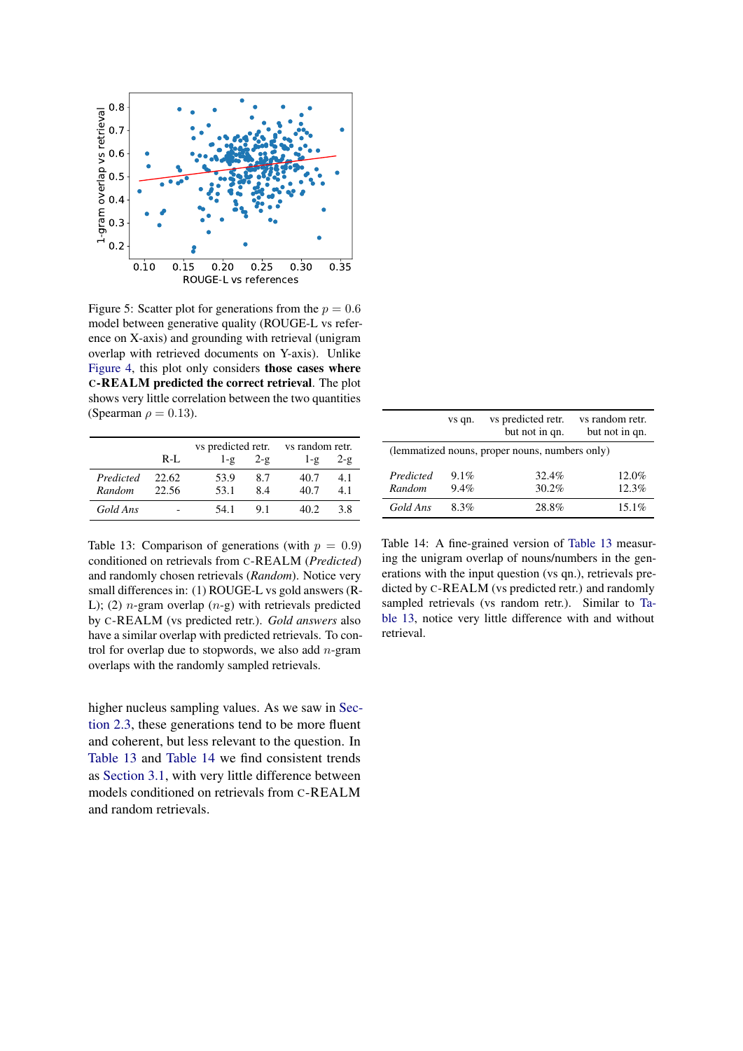<span id="page-15-0"></span>

Figure 5: Scatter plot for generations from the  $p = 0.6$ model between generative quality (ROUGE-L vs reference on X-axis) and grounding with retrieval (unigram overlap with retrieved documents on Y-axis). Unlike [Figure 4,](#page-14-3) this plot only considers those cases where C-REALM predicted the correct retrieval. The plot shows very little correlation between the two quantities (Spearman  $\rho = 0.13$ ).

<span id="page-15-1"></span>

|                     |                | vs predicted retr. |                | vs random retr. |                |  |
|---------------------|----------------|--------------------|----------------|-----------------|----------------|--|
|                     | $R-I$ .        | $1 - \mathcal{Q}$  | $2-\mathbf{g}$ | $1-\mathcal{Q}$ | $2-\mathbf{g}$ |  |
| Predicted<br>Random | 22.62<br>22.56 | 53.9<br>53.1       | 8.7<br>84      | 40.7<br>40.7    | 4.1<br>41      |  |
| Gold Ans            |                | 54.1               | 91             | 40 2.           | 3.8            |  |

<span id="page-15-2"></span>

|                                                | vs qn.          | vs predicted retr.<br>but not in qn. | vs random retr.<br>but not in qn. |  |  |
|------------------------------------------------|-----------------|--------------------------------------|-----------------------------------|--|--|
| (lemmatized nouns, proper nouns, numbers only) |                 |                                      |                                   |  |  |
| Predicted<br>Random                            | $9.1\%$<br>9.4% | 32.4%<br>30.2%                       | 12.0%<br>12.3%                    |  |  |
| Gold Ans                                       | 8.3%            | 28.8%                                | 15.1%                             |  |  |

Table 13: Comparison of generations (with  $p = 0.9$ ) conditioned on retrievals from C-REALM (*Predicted*) and randomly chosen retrievals (*Random*). Notice very small differences in: (1) ROUGE-L vs gold answers (R-L); (2) *n*-gram overlap  $(n-g)$  with retrievals predicted by C-REALM (vs predicted retr.). *Gold answers* also have a similar overlap with predicted retrievals. To control for overlap due to stopwords, we also add  $n$ -gram overlaps with the randomly sampled retrievals.

higher nucleus sampling values. As we saw in [Sec](#page-2-3)[tion 2.3,](#page-2-3) these generations tend to be more fluent and coherent, but less relevant to the question. In [Table 13](#page-15-1) and [Table 14](#page-15-2) we find consistent trends as [Section 3.1,](#page-3-1) with very little difference between models conditioned on retrievals from C-REALM and random retrievals.

Table 14: A fine-grained version of [Table 13](#page-15-1) measuring the unigram overlap of nouns/numbers in the generations with the input question (vs qn.), retrievals predicted by C-REALM (vs predicted retr.) and randomly sampled retrievals (vs random retr.). Similar to [Ta](#page-15-1)[ble 13,](#page-15-1) notice very little difference with and without retrieval.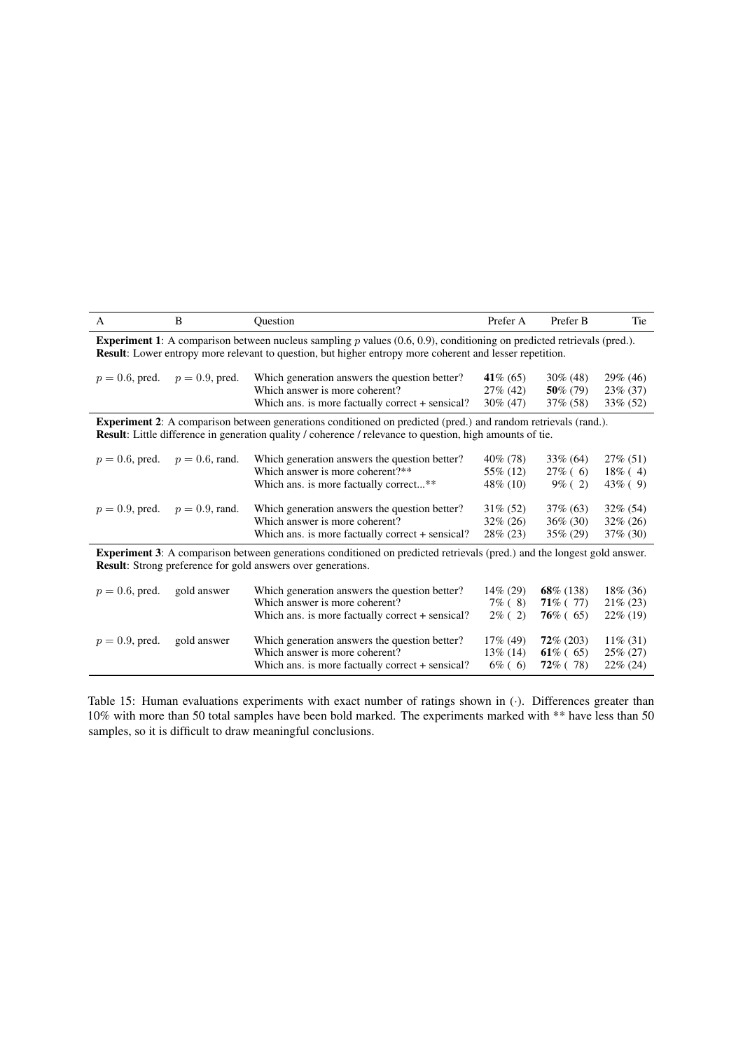<span id="page-16-0"></span>

| A                                                                                                                                                                                                                                                     | B                 | Ouestion                                                                                                                            | Prefer A                                  | Prefer B                                   | Tie                                       |  |  |
|-------------------------------------------------------------------------------------------------------------------------------------------------------------------------------------------------------------------------------------------------------|-------------------|-------------------------------------------------------------------------------------------------------------------------------------|-------------------------------------------|--------------------------------------------|-------------------------------------------|--|--|
| <b>Experiment 1:</b> A comparison between nucleus sampling $p$ values $(0.6, 0.9)$ , conditioning on predicted retrievals (pred.).<br><b>Result:</b> Lower entropy more relevant to question, but higher entropy more coherent and lesser repetition. |                   |                                                                                                                                     |                                           |                                            |                                           |  |  |
| $p = 0.6$ , pred.                                                                                                                                                                                                                                     | $p = 0.9$ , pred. | Which generation answers the question better?<br>Which answer is more coherent?<br>Which ans. is more factually correct + sensical? | 41\% $(65)$<br>$27\%$ (42)<br>$30\%$ (47) | $30\%$ (48)<br>50% (79)<br>$37\%$ (58)     | $29\%$ (46)<br>$23\%$ (37)<br>$33\%$ (52) |  |  |
| <b>Experiment 2:</b> A comparison between generations conditioned on predicted (pred.) and random retrievals (rand.).<br><b>Result:</b> Little difference in generation quality / coherence / relevance to question, high amounts of tie.             |                   |                                                                                                                                     |                                           |                                            |                                           |  |  |
| $p=0.6$ , pred.                                                                                                                                                                                                                                       | $p = 0.6$ , rand. | Which generation answers the question better?<br>Which answer is more coherent?**<br>Which ans. is more factually correct**         | 40\% (78)<br>55% (12)<br>48\% (10)        | $33\%$ (64)<br>$27\%$ (6)<br>$9\%$ (2)     | $27\%$ (51)<br>$18\%$ (4)<br>$43\%$ (9)   |  |  |
| $p = 0.9$ , pred.                                                                                                                                                                                                                                     | $p = 0.9$ , rand. | Which generation answers the question better?<br>Which answer is more coherent?<br>Which ans. is more factually correct + sensical? | $31\%$ (52)<br>$32\% (26)$<br>28\% (23)   | $37\% (63)$<br>$36\%$ (30)<br>35% (29)     | $32\%$ (54)<br>$32\% (26)$<br>$37\%$ (30) |  |  |
| <b>Experiment 3:</b> A comparison between generations conditioned on predicted retrievals (pred.) and the longest gold answer.<br><b>Result:</b> Strong preference for gold answers over generations.                                                 |                   |                                                                                                                                     |                                           |                                            |                                           |  |  |
| $p = 0.6$ , pred.                                                                                                                                                                                                                                     | gold answer       | Which generation answers the question better?<br>Which answer is more coherent?<br>Which ans. is more factually correct + sensical? | $14\%$ (29)<br>$7\%$ (8)<br>$2\%$ (2)     | $68\%$ (138)<br>$71\%$ (77)<br>$76\%$ (65) | 18\% (36)<br>$21\% (23)$<br>$22\%$ (19)   |  |  |
| $p = 0.9$ , pred.                                                                                                                                                                                                                                     | gold answer       | Which generation answers the question better?<br>Which answer is more coherent?<br>Which ans. is more factually correct + sensical? | $17\%$ (49)<br>$13\%$ (14)<br>$6\%$ (6)   | $72\% (203)$<br>$61\%$ (65)<br>$72\%$ (78) | $11\%$ (31)<br>$25\% (27)$<br>$22\%$ (24) |  |  |

Table 15: Human evaluations experiments with exact number of ratings shown in (·). Differences greater than 10% with more than 50 total samples have been bold marked. The experiments marked with \*\* have less than 50 samples, so it is difficult to draw meaningful conclusions.